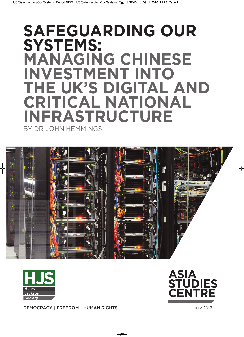# **Safeguarding our SyStemS: managing ChineSe inveStment into the uK'S digital and CritiCal national infraStruCture** BY DR JOHN HEMMINGS





**DEMOCRACY | FREEDOM | HUMAN RIGHTS** July 2017

ASIA **STUDIES** CENTRE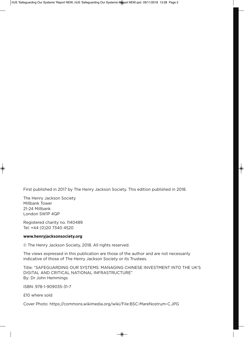First published in 2017 by The Henry Jackson Society. This edition published in 2018.

The Henry Jackson Society Millbank Tower 21-24 Millbank London SW1P 4QP

Registered charity no. 1140489 Tel: +44 (0)20 7340 4520

#### **www.henryjacksonsociety.org**

© The Henry Jackson Society, 2018. All rights reserved.

The views expressed in this publication are those of the author and are not necessarily indicative of those of The Henry Jackson Society or its Trustees.

Title: "SAFEGuARDING OuR SYSTEMS: MANAGING CHINESE INvESTMENT INTO THE uK'S DIGITAL AND CRITICAL NATIONAL INFRASTRuCTuRE" By: Dr John Hemmings

ISBN: 978-1-909035-31-7

£10 where sold

Cover Photo: https://commons.wikimedia.org/wiki/File:BSC-MareNostrum-C.JPG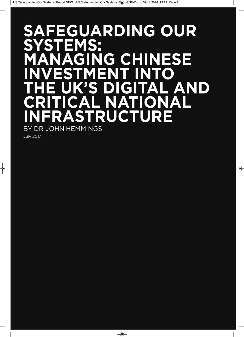# SAFEGUARDING OUR<br>SYSTEMS: STEMS: **AGING CHINESE<br>STMENT INTO inveStment into S DIGITAL AND CAL NATIONAL ASTRUCTURE** BY DR JOHN HEMMINGS

July 2017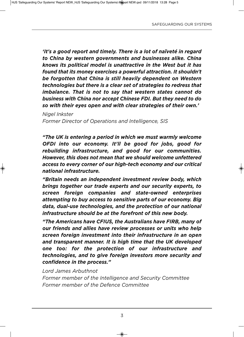*'It's a good report and timely. There is a lot of naïveté in regard to China by western governments and businesses alike. China knows its political model is unattractive in the West but it has found that its money exercises a powerful attraction. It shouldn't be forgotten that China is still heavily dependent on Western technologies but there is a clear set of strategies to redress that imbalance. That is not to say that western states cannot do business with China nor accept Chinese FDI. But they need to do so with their eyes open and with clear strategies of their own.'*

*Nigel Inkster Former Director of Operations and Intelligence, SIS*

*"The UK is entering a period in which we must warmly welcome OFDI into our economy. It'll be good for jobs, good for rebuilding infrastructure, and good for our communities. However, this does not mean that we should welcome unfettered access to every corner of our high-tech economy and our critical national infrastructure.*

*"Britain needs an independent investment review body, which brings together our trade experts and our security experts, to screen foreign companies and state-owned enterprises attempting to buy access to sensitive parts of our economy. Big data, dual-use technologies, and the protection of our national infrastructure should be at the forefront of this new body.*

*"The Americans have CFIUS, the Australians have FIRB, many of our friends and allies have review processes or units who help screen foreign investment into their infrastructure in an open and transparent manner. It is high time that the UK developed one too: for the protection of our infrastructure and technologies, and to give foreign investors more security and confidence in the process."*

*Lord James Arbuthnot*

*Former member of the Intelligence and Security Committee Former member of the Defence Committee*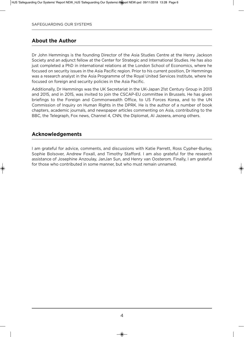### **about the author**

Dr John Hemmings is the founding Director of the Asia Studies Centre at the Henry Jackson Society and an adjunct fellow at the Center for Strategic and International Studies. He has also just completed a PhD in international relations at the London School of Economics, where he focused on security issues in the Asia Pacific region. Prior to his current position, Dr Hemmings was a research analyst in the Asia Programme of the Royal United Services Institute, where he focused on foreign and security policies in the Asia Pacific.

Additionally, Dr Hemmings was the uK Secretariat in the uK-Japan 21st Century Group in 2013 and 2015, and in 2015, was invited to join the CSCAP-EU committee in Brussels. He has given briefings to the Foreign and Commonwealth Office, to uS Forces Korea, and to the uN Commission of Inquiry on Human Rights in the DPRK. He is the author of a number of book chapters, academic journals, and newspaper articles commenting on Asia, contributing to the BBC, the Telegraph, Fox news, Channel 4, CNN, the Diplomat, Al Jazeera, among others.

## **acknowledgements**

I am grateful for advice, comments, and discussions with Katie Parrett, Ross Cypher-Burley, Sophie Bolsover, Andrew Foxall, and Timothy Stafford. I am also grateful for the research assistance of Josephine Anzoulay, JanJan Sun, and Henry van Oosterom. Finally, I am grateful for those who contributed in some manner, but who must remain unnamed.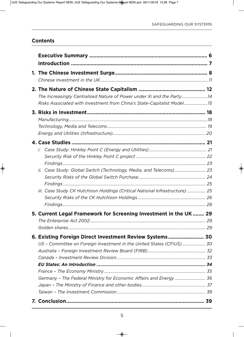## **Contents**

| The Increasingly Centralised Nature of Power under Xi and the Party14        |  |
|------------------------------------------------------------------------------|--|
| Risks Associated with Investment from China's State-Capitalist Model15       |  |
|                                                                              |  |
|                                                                              |  |
|                                                                              |  |
|                                                                              |  |
|                                                                              |  |
|                                                                              |  |
|                                                                              |  |
|                                                                              |  |
| Case Study: Global Switch (Technology, Media, and Telecoms)  23<br>İİ.       |  |
|                                                                              |  |
|                                                                              |  |
| iii. Case Study CK Hutchison Holdings (Critical National Infrastructure)  25 |  |
|                                                                              |  |
|                                                                              |  |
| 5. Current Legal Framework for Screening Investment in the UK  29            |  |
|                                                                              |  |
|                                                                              |  |
| 6. Existing Foreign Direct Investment Review Systems 30                      |  |
| US - Committee on Foreign Investment in the United States (CFIUS) 30         |  |
|                                                                              |  |
|                                                                              |  |
|                                                                              |  |
|                                                                              |  |
| Germany - The Federal Ministry for Economic Affairs and Energy  36           |  |
|                                                                              |  |
|                                                                              |  |
|                                                                              |  |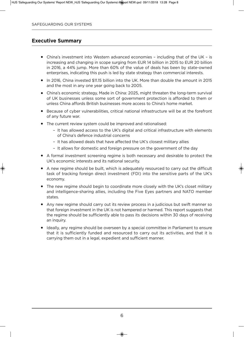#### **executive Summary**

- China's investment into Western advanced economies including that of the UK is increasing and changing in scope surging from EUR 14 billion in 2015 to EUR 20 billion in 2016, a 44% jump. More than 60% of the value of deals has been by state-owned enterprises, indicating this push is led by state strategy than commercial interests.
- In 2016, China invested \$11.15 billion into the UK. More than double the amount in 2015 and the most in any one year going back to 2005.
- China's economic strategy, Made in China: 2025, might threaten the long-term survival of uK businesses unless some sort of government protection is afforded to them or unless China affords British businesses more access to China's home market.
- Because of cyber vulnerabilities, critical national infrastructure will be at the forefront of any future war.
- The current review system could be improved and rationalised:
	- It has allowed access to the uK's digital and critical infrastructure with elements of China's defence industrial concerns
	- It has allowed deals that have affected the UK's closest military allies
	- It allows for domestic and foreign pressure on the government of the day
- A formal investment screening regime is both necessary and desirable to protect the UK's economic interests and its national security.
- A new regime should be built, which is adequately resourced to carry out the difficult task of tracking foreign direct investment (FDI) into the sensitive parts of the uK's economy.
- The new regime should begin to coordinate more closely with the UK's closet military and intelligence-sharing allies, including the Five Eyes partners and NATO member states.
- Any new regime should carry out its review process in a judicious but swift manner so that foreign investment in the UK is not hampered or harmed. This report suggests that the regime should be sufficiently able to pass its decisions within 30 days of receiving an inquiry.
- Ideally, any regime should be overseen by a special committee in Parliament to ensure that it is sufficiently funded and resourced to carry out its activities, and that it is carrying them out in a legal, expedient and sufficient manner.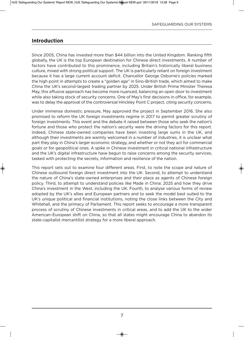## **introduction**

Since 2005, China has invested more than \$44 billion into the United Kingdom. Ranking fifth globally, the UK is the top European destination for Chinese direct investments. A number of factors have contributed to this prominence, including Britain's historically liberal business culture, mixed with strong political support. The UK is particularly reliant on foreign investment because it has a large current account deficit. Chancellor George Osborne's policies marked the high point in attempts to create a "golden age" in Sino-British trade, which aimed to make China the UK's second-largest trading partner by 2025. Under British Prime Minister Theresa May, this effusive approach has become more nuanced, balancing an open door to investment while also taking stock of security concerns. One of May's first decisions in office, for example, was to delay the approval of the controversial Hinckley Point C project, citing security concerns.

under immense domestic pressure, May approved the project in September 2016. She also promised to reform the uK foreign investments regime in 2017 to permit greater scrutiny of foreign investments. This event and the debate it raised between those who seek the nation's fortune and those who protect the nation's security were the driving factors for this report. Indeed, Chinese state-owned companies have been investing large sums in the uK, and although their investments are warmly welcomed in a number of industries, it is unclear what part they play in China's larger economic strategy, and whether or not they act for commercial goals or for geopolitical ones. A spike in Chinese investment in critical national infrastructure and the UK's digital infrastructure have begun to raise concerns among the security services, tasked with protecting the secrets, information and resilience of the nation.

This report sets out to examine four different areas. First, to note the scope and nature of Chinese outbound foreign direct investment into the uK. Second, to attempt to understand the nature of China's state-owned enterprises and their place as agents of Chinese foreign policy. Third, to attempt to understand policies like Made in China: 2025 and how they drive China's investment in the West, including the uK. Fourth, to analyse various forms of review adopted by the uK's allies and European partners and to seek the model best suited to the UK's unique political and financial institutions, noting the close links between the City and Whitehall, and the primacy of Parliament. This report seeks to encourage a more transparent process of scrutiny of Chinese investments in critical areas, and to add the UK to the wider American–European shift on China, so that all states might encourage China to abandon its state-capitalist mercantilist strategy for a more liberal approach.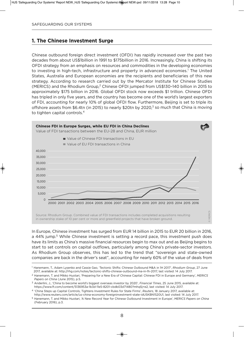#### **1. the Chinese investment Surge**

Chinese outbound foreign direct investment (OFDI) has rapidly increased over the past two decades from about uS\$1billion in 1991 to \$175billion in 2016. Increasingly, China is shifting its OFDI strategy from an emphasis on resources and commodities in the developing economies to investing in high-tech, infrastructure and property in advanced economies.<sup>1</sup> The United States, Australia and European economies are the recipients and beneficiaries of this new strategy. According to research carried out by the Mercator Institute for Chinese Studies (MERICS) and the Rhodium Group,<sup>2</sup> Chinese OFDI jumped from US\$130-140 billion in 2015 to approximately \$175 billion in 2016. Global OFDI stock now exceeds \$1 trillion. Chinese OFDI has tripled in only five years, and the country has become one of the world's largest exporters of FDI, accounting for nearly 10% of global OFDI flow. Furthermore, Beijing is set to triple its offshore assets from \$6.4tn (in 2015) to nearly \$20tn by 2020, $3$  so much that China is moving to tighten capital controls.<sup>4</sup>



In Europe, Chinese investment has surged from EuR 14 billion in 2015 to EuR 20 billion in 2016, a 44% jump.<sup>5</sup> While Chinese investment is setting a record pace, this investment push does have its limits as China's massive financial resources begin to max out and as Beijing begins to start to set controls on capital outflows, particularly among China's private-sector investors. As Rhodium Group observes, this has led to the trend that "sovereign and state-owned companies are back in the driver's seat", accounting for nearly 60% of the value of deals from

<sup>1</sup> Hanemann, T., Adam Lysenko and Cassie Gao, 'Tectonic Shifts: Chinese Outbound M&A in 1H 2017', *Rhodium Group*, 27 June 2017, available at: http://rhg.com/notes/tectonic-shifts-chinese-outbound-ma-in-1h-2017, last visited: 14 July 2017.

<sup>2</sup> Hanemann, T. and Mikko Huotari, 'Preparing for a New Era of Chinese Capital: Chinese FDI in Europe and Germany', *MERICS Papers on China* (June 2015), p.5.

<sup>3</sup> Anderlini, J., 'China to become world's biggest overseas investor by 2020', *Financial Times*, 25 June 2015, available at: https://www.ft.com/content/5136953a-1b3d-11e5-8201-cbdb03d71480?mhq5j=e2, last visited: 14 July 2017.

<sup>4</sup> 'China Steps up Capital Controls, Tightens Investment Rules for State Firms', *Reuters*, 18 January 2017, available at: http://www.reuters.com/article/us-china-economy-foreigninvestment-state-iduSKBN1520u1, last visited: 14 July 2017.

<sup>5</sup> Hanemann, T. and Mikko Huotari, 'A New Record Year for Chinese Outbound Investment in Europe', *MERICS Papers on China* (February 2016), p.3.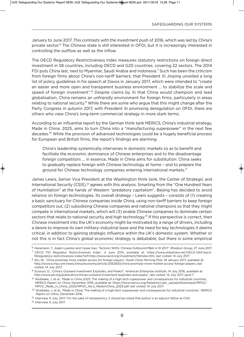January to June 2017. This contrasts with the investment push of 2016, which was led by China's private sector.<sup>6</sup> The Chinese state is still interested in OFDI, but it is increasingly interested in controlling the outflow as well as the inflow.

The OECD Regulatory Restrictiveness Index measures statutory restrictions on foreign direct investment in 58 countries, including OECD and G20 countries, covering 22 sectors. The 2014 FDI puts China last, next to Myanmar, Saudi Arabia and Indonesia.<sup>7</sup> Such has been the criticism from foreign firms about China's non-tariff barriers, that President Xi Jinping unveiled a long list of policy guidelines in his speech at Davos in January 2017, which were intended to "create an easier and more open and transparent business environment … to stabilize the scale and speed of foreign investment".<sup>8</sup> Despite claims by Xi that China would champion and lead globalisation, China remains an unfriendly environment for foreign firms, particularly in areas relating to national security.<sup>9</sup> While there are some who argue that this might change after the Party Congress in autumn 2017, with President Xi promising deregulation on OFDI, there are others who view China's long-term commercial strategy in more stark terms.

According to an influential report by the German think tank MERICS, China's industrial strategy, Made in China: 2025, aims to turn China into a "manufacturing superpower" in the next few decades.10 While the provision of advanced technologies could be a hugely beneficial process for European and British firms, the report's findings are alarming:

China's leadership systemically intervenes in domestic markets so as to benefit and facilitate the economic dominance of Chinese enterprises and to the disadvantage foreign competitors … in essence, Made in China aims for substitution: China seeks to gradually replace foreign with Chinese technology at home – and to prepare the ground for Chinese technology companies entering international markets.<sup>11</sup>

James Lewis, Senior vice President at the Washington think tank, the Center of Strategic and International Security (CSIS),<sup>12</sup> agrees with this analysis. Smarting from the "One Hundred Years of Humiliation" at the hands of Western "predatory capitalism", Beijing has decided to avoid reliance on foreign technologies. Its overall strategy – Lewis suggests – consists of (1) creating a basic sanctuary for Chinese companies inside China, using non-tariff barriers to keep foreign competitors out, (2) subsidising Chinese companies and national champions so that they might compete in international markets, which will (3) enable Chinese companies to dominate certain sectors that relate to national security and high technology.<sup>13</sup> If this perspective is correct, then Chinese investment into the UK's economy might be motivated by a range of drivers, including a desire to improve its own military–industrial base and the need for key technologies it deems critical, in addition to gaining strategic influence within the uK's domestic system. Whether or not this is in fact China's global economic strategy is debatable, but there is some empirical

<sup>6</sup> Hanemann, T., Adam Lysenko and Cassie Gao, 'Tectonic Shifts: Chinese Outbound M&A in 1H 2017', *Rhodium Group*, 27 June 2017. <sup>7</sup> 'OECD FDI Regulator Restrictiveness Index', 4 June 2014, available at: https://www.slideshare.net/OECD-DAF/oecdfdiregulatory-restrictiveness-index?ref=http://www.oecd.org/investment/fdiindex.htm, last visited: 14 July 2017.

<sup>8</sup> Wu, W., 'China promises more market access for foreign players', *South China Morning Post*, 18 January 2017, available at: http://www.scmp.com/news/china/economy/article/2062920/china-promises-more-market-access-foreign-players, last visited: 14 July 2017.

<sup>9</sup> Scissors, D., 'China's Outward Investment Explodes, and Peaks?', *American Enterprise Institute*, 14 July 2016, available at: http://www.aei.org/publication/chinas-outward-investment-explodes-and-peaks/, last visited: 14 July 2017, pp.6-7.

<sup>&</sup>lt;sup>10</sup> Wubbeke, J. et al., 'Made in China 2025: The making of a high-tech superpower and consequences for industrial countries', *MERICS Papers on China*, December 2016, available at: https://www.merics.org/fileadmin/user\_upload/downloads/MPOC/ MPOC\_Made\_in\_China\_2025/MPOC\_No.2\_MadeinChina\_2025.pdf, last visited: 14 July 2017.

<sup>112</sup> Wubbeke, J. et al., 'Made in China: The making of a high-tech superpower and consequences for industrial countries', *MERICS Papers on China*, December 2016.

<sup>12</sup> Interview, 6 July, 2017. For the sake of transparency, it should be noted that author is an adjunct fellow at CSIS.

<sup>&</sup>lt;sup>13</sup> Interview, 6 July 2017.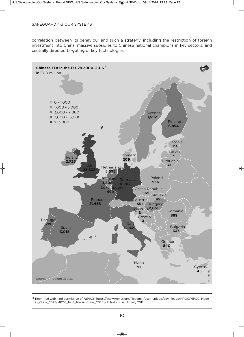correlation between its behaviour and such a strategy, including the restriction of foreign investment into China, massive subsidies to Chinese national champions in key sectors, and centrally directed targeting of key technologies.



<sup>14</sup> Reprinted with kind permission of *MERICS*, https://www.merics.org/fileadmin/user\_upload/downloads/MPOC/MPOC\_Made\_ in\_China\_2025/MPOC\_No.2\_MadeinChina\_2025.pdf, last visited: 14 July 2017.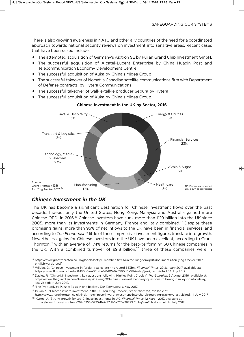There is also growing awareness in NATO and other ally countries of the need for a coordinated approach towards national security reviews on investment into sensitive areas. Recent cases that have been raised include:

- The attempted acquisition of Germany's Aixtron SE by Fujian Grand Chip Investment GmbH.
- The successful acquisition of Alcatel-Lucent Enterprise by China Huaxin Post and Telecommunication Economy Development Centre
- The successful acquisition of Kuka by China's Midea Group
- The successful takeover of Norsat, a Canadian satellite communications firm with Department of Defense contracts, by Hytera Communications
- The successful takeover of walkie-talkie producer Sepura by Hytera
- The successful acquisition of Kuka by China's Midea Group.



#### **Chinese investment in the uK by Sector, 2016**

## *Chinese Investment in the UK*

The UK has become a significant destination for Chinese investment flows over the past decade. Indeed, only the United States, Hong Kong, Malaysia and Australia gained more Chinese OFDI in 2016.<sup>16</sup> Chinese investors have sunk more than £29 billion into the UK since 2005, more than its investments in Germany, France and Italy combined.<sup>17</sup> Despite these promising gains, more than 95% of net inflows to the uK have been in financial services, and according to *The Economist*,<sup>18</sup> little of these impressive investment figures translate into growth. Nevertheless, gains for Chinese investors into the uK have been excellent, according to Grant Thornton,<sup>19</sup> with an average of 174% returns for the best-performing 30 Chinese companies in the UK. With a combined turnover of  $E9.8$  billion,<sup>20</sup> three of these companies were in

<sup>15</sup> https://www.grantthornton.co.uk/globalassets/1.-member-firms/united-kingdom/pdf/documents/tou-ying-tracker-2017 english-version.pdf.

<sup>16</sup> Wildau, G., 'Chinese Investment in foreign real estate hits record \$33bn', *Financial Times*, 29 January 2017, available at: https://www.ft.com/content/d8d80b6e-e381-11e6-8405-9e5580d6e5fb?mhq5j=e2, last visited: 14 July 2017.

<sup>17</sup> Davies, R., 'China-uK Investment: key questions following Hinkley Point C delay', *The Guardian*, 9 August 2016, available at: https://www.theguardian.com/business/2016/aug/09/china-uk-investment-key-questions-following-hinkley-point-c-delay, last visited: 14 July 2017.

<sup>18</sup> 'The Productivity Puzzle: Eggs in one basket', *The Economist*, 6 May 2017.

<sup>19</sup> Bevan, S., 'Chinese inward investment in the uK–Tou Ying Tracker', *Grant Thornton*, available at:

http://www.grantthornton.co.uk/insights/chinese-inward-investment-into-the-uk-tou-ying-tracker/, last visited: 14 July 2017. <sup>20</sup> Kynge, J., 'Strong growth for top Chinese investments in UK', *Financial Times*, 12 March 2017, available at:

https://www.ft.com/ content/262d1258-0725-11e7-97d1-5e720a26771b?mhq5j=e2, last visited: 14 July 2017.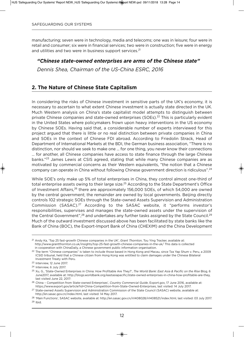manufacturing; seven were in technology, media and telecoms; one was in leisure; four were in retail and consumer; six were in financial services; two were in construction; five were in energy and utilities and two were in business support services.<sup>21</sup>

#### *"Chinese state-owned enterprises are arms of the Chinese state"*

*Dennis Shea, Chairman of the US-China ESRC, 2016*

## **2. The Nature of Chinese State Capitalism**

In considering the risks of Chinese investment in sensitive parts of the UK's economy, it is necessary to ascertain to what extent Chinese investment is actually state directed in the uK. Much Western analysis on China's state capitalist model attempts to distinguish between private Chinese companies and state-owned enterprises (SOEs).<sup>22</sup> This is particularly evident in the United States where policymakers frown upon heavy interventions in the US economy by Chinese SOEs. Having said that, a considerable number of experts interviewed for this project argued that there is little or no real distinction between private companies in China and SOEs in the context of Chinese FDI abroad. According to Friedolin Strack, Head of Department of International Markets at the BDI, the German business association, "There is no distinction, nor should we seek to make one … for one thing, you never know their connections … for another, all Chinese companies have access to state finance through the large Chinese banks."<sup>23</sup> James Lewis at CSIS agreed, stating that while many Chinese companies are as motivated by commercial concerns as their Western equivalents, "the notion that a Chinese company can operate in China without following Chinese government direction is ridiculous".24

While SOE's only make up 5% of total enterprises in China, they control almost one-third of total enterprise assets owing to their large size.<sup>25</sup> According to the State Department's Office of Investment Affairs,<sup>26</sup> there are approximately 156,000 SOEs, of which 54,000 are owned by the central government; the remainder are owned by local governments. Beijing directly controls 102 strategic SOEs through the State-owned Assets Supervision and Administration Commission (SASAC).27 According to the SASAC website, it "performs investor's responsibilities, supervises and manages the state-owned assets under the supervision of the Central Government",<sup>28</sup> and undertakes any further tasks assigned by the State Council.<sup>29</sup> Much of the outward investment discussed above has been facilitated by state banks like the Bank of China (BOC), the Export-Import Bank of China (CHEXIM) and the China Development

<sup>21</sup> Andy Ka, 'Top 25 fast-growth Chinese companies in the uK', *Grant Thornton*, Tou Ying Tracker, available at: http://www.grantthornton.co.uk/insights/top-25-fast-growth-chinese-companies-in-the-uk/ This data is collected in cooperation with ChinaDaily, a Chinese government public information organisation.

<sup>&</sup>lt;sup>22</sup> The term "Chinese companies" is taken to include those based in Hong Kong and Macau, since Tza Yap Shum v. Peru, a 2009 ICSID tribunal, held that a Chinese citizen from Hong Kong was entitled to claim damages under the Chinese Bilateral Investment Treaty with Peru.

<sup>23</sup> Interview, 12 June 2017.

<sup>24</sup> Interview, 6 July 2017.

<sup>25</sup> Xu, G., 'State-Owned Enterprises in China: How Profitable Are They?', *The World Bank: East Asia & Pacific on the Rise* Blog, 6 June2017, available at: http://blogs.worldbank.org/eastasiapacific/state-owned-enterprises-in-china-how-profitable-are-they, last visited June 22, 2017:

<sup>26</sup> China – Competition from State-owned Enterprises', *Country Commercial Guide*, Export.gov, 17 June 2016, available at: https://www.export.gov/article?id=China-Competition-from-State-Owned-Enterprises, last visited: 14 July 2017.

<sup>&</sup>lt;sup>27</sup> State-owned Assets Supervision and Administration Commission of the State Council (SASAC) website, available at: http://en.sasac.gov.cn/index.html, last visited: 14 May 2017.

<sup>28</sup> 'Main Functions', SASAC website, available at: http://en.sasac.gov.cn/n1408028/n1408521/index.html, last visited: 03 July 2017.  $29$  Ibid.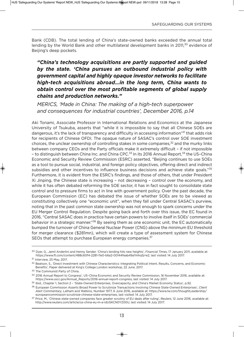Bank (CDB). The total lending of China's state-owned banks exceeded the annual total lending by the World Bank and other multilateral development banks in 2011,<sup>30</sup> evidence of Beijing's deep pockets.

## *"China's technology acquisitions are partly supported and guided by the state. 'China pursues an outbound industrial policy with government capital and highly opaque investor networks to facilitate high-tech acquisitions abroad…in the long term, China wants to obtain control over the most profitable segments of global supply chains and production networks."*

*MERICS, 'Made in China: The making of a high-tech superpower and consequences for industrial countries', December 2016, p.14*

Aki Tonami, Associate Professor in International Relations and Economics at the Japanese University of Tsukuba, asserts that "while it is impossible to say that all Chinese SOEs are dangerous, it's the lack of transparency and difficulty in accessing information"<sup>31</sup> that adds risk for recipients of Chinese OFDI. The opaque nature of SASAC's control over SOE investment choices, the unclear ownership of controlling stakes in some companies, $32$  and the murky links between company CEOs and the Party officials make it extremely difficult – if not impossible - to distinguish between China Inc. and China CPC.<sup>33</sup> In its 2016 Annual Report,<sup>34</sup> the US-China Economic and Security Review Commission (ESRC) asserted, "Beijing continues to use SOEs as a tool to pursue social, industrial, and foreign policy objectives, offering direct and indirect subsidies and other incentives to influence business decisions and achieve state goals."<sup>35</sup> Furthermore, it is evident from the ESRC's findings, and those of others, that under President Xi Jinping, the Chinese state is increasing – not decreasing – control over the economy, and while it has often debated reforming the SOE sector, it has in fact sought to consolidate state control and to pressure firms to act in line with government policy. Over the past decade, the European Commission (EC) has debated the issue of whether SOEs are to be viewed as constituting collectively one "economic unit", when they fall under Central SASAC's purview, noting that in the past common state ownership was not enough to spark concerns under the Eu Merger Control Regulation. Despite going back and forth over this issue, the EC found in 2016, "Central SASAC does in practice have certain powers to involve itself in SOEs' commercial behavior in a strategic manner."<sup>36</sup> By seeing them as one economic unit, the EC automatically bumped the turnover of China General Nuclear Power (CNG) above the minimum EU threshold for merger clearance (\$281mn), which will create a type of assessment system for Chinese SEOs that attempt to purchase European energy companies.<sup>37</sup>

<sup>30</sup> Dyer, G., Jamil Anderlini and Henny Sender, 'China's lending hits new heights', *Financial Times*, 17 January 2011, available at: https://www.ft.com/content/488c60f4-2281-11e0-b6a2-00144feab49a?mhq5j=e2, last visited: 14 July 2017.

<sup>31</sup> Interview, 25 May, 2017.

<sup>32</sup> Beatson, S., 'Direct Investment with Chinese Characteristics: Integrating Political Intent, Results, Concerns, and Economic Benefits', Paper delivered at King's College London workshop, 22 June, 2017.

<sup>33</sup> The Communist Party of China.

<sup>34</sup> 2016 Annual Report to Congress', uS–China Economic and Security Review Commission, 16 November 2016, available at: https://www.uscc.gov/Annual\_Reports/2016-annual-report-congress, last visited: 14 July 2017.

<sup>35</sup> Ibid., Chapter 1, Section 2 – 'State-Owned Enterprises, Overcapacity, and China's Market Economy Status', p.92.

<sup>36</sup> European Commission Asserts Broad Power to Scrutinize Transactions Involving Chinese State-Owned Enterprises', *Client Alert Commentary*, Latham and Watkins, Number 1977, 6 June 2016, available at: https://www.lw.com/thoughtLeadership/ europeancommission-scrutinize-chinese-state-enterprises, last visited: 14 July 2017.

<sup>37</sup> Price, M., 'Chinese state-owned companies face greater scrutiny of Eu deals after ruling', *Reuters*, 12 June 2016, available at: http://www.reuters.com/article/us-china-eu-m-a-iduSKCN0YZ00u, last visited: 14 July 2017.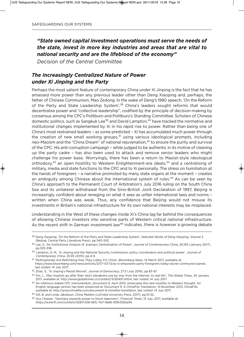## *"State owned capital investment operations must serve the needs of the state, invest in more key industries and areas that are vital to national security and are the lifeblood of the economy"*

*Decision of the Central Committee*

## *The Increasingly Centralized Nature of Power under Xi Jinping and the Party*

Perhaps the most salient feature of contemporary China under Xi Jinping is the fact that he has amassed more power than any previous leader other than Deng Xiaoping and, perhaps, the father of Chinese Communism, Mao Zedong. In the wake of Deng's 1980 speech, 'On the Reform of the Party and State Leadership System',<sup>38</sup> China's leaders sought reforms that would decentralise power and "collective leadership", codified by the principle of decision-making by consensus among the CPC's Politburo and Politburo's Standing Committee. Scholars of Chinese domestic politics, such as Sangkuk Lee<sup>39</sup> and David Lampton,<sup>40</sup> have tracked the normative and institutional changes implemented by Xi in his rapid rise to power. Rather than being one of China's most restrained leaders – as some predicted – Xi has accumulated much power through the creation of new small working groups,<sup>41</sup> using various ideological prompts, including neo-Maoism and the "China Dream" of national rejuvenation,<sup>42</sup> to ensure the purity and survival of the CPC. His anti-corruption campaign – while judged to be authentic in its motive of cleaning up the party cadre – has also been used to attack and remove senior leaders who might challenge his power base. Worryingly, there has been a return to Maoist-style ideological orthodoxy,<sup>43</sup> an open hostility to Western Enlightenment-era ideals,<sup>44</sup> and a centralising of military, media and state functions to the CPC and to Xi personally. The stress on humiliation at the hands of foreigners – a narrative promoted by many state organs at the moment – creates an ambiguity among Chinese about the international system of rules.<sup>45</sup> As can be seen by China's approach to the Permanent Court of Arbitration's July 2016 ruling on the South China Sea and its unilateral withdrawal from the Sino-British Joint Declaration of 1997, Beijing is increasingly confident about reneging on what it sees as unfair international laws and norms – written when China was weak. Thus, any confidence that Beijing would not misuse its investments in Britain's national infrastructure for its own national interests may be misplaced.

understanding in the West of these changes inside Xi's China lag far behind the consequences of allowing Chinese investors into sensitive parts of Western critical national infrastructure. As the recent shift in German investment law<sup>46</sup> indicates, there is however a growing debate

<sup>38</sup> Deng Xiaoping, 'On the Reform of the Party and State Leadership System', *Selected Works of Deng Xiaoping*, volume 2 (Beijing: Central Party Literature Press), pp.340-342.

<sup>39</sup> Lee, S., 'An Institutional Analysis of Jinping's Centralization of Power', *Journal of Contemporary China*, 26.105 (January 2017), pp.325-336.

<sup>40</sup> Lampton, D. M., 'Xi Jinping and the National Security Commission: policy coordination and political power', *Journal of Contemporary China*, 25.95 (2015), pp.4-9.

<sup>41</sup> 'Multinationals Are Rethinking How They Lobby Xi's China', *Bloomberg News*, 14 March 2017, available at: https://www.bloomberg.com/news/articles/2017-03-13/as-xi-empowers-party-foreigners-lobby-secret-communist-panels, last visited: 14 July 2017.

<sup>42</sup> Zhao, S., 'Xi Jinping's Maoist Revival', *Journal of Democracy*, 27.3 (July 2016), pp.83-97.

<sup>43</sup> Xin, L., 'Mao loyalists go after their idol's slanderers one by one, from the Internet, to real life", *The Global Times*, 24 January 2017, available at: http://www.globaltimes.cn/content/1030497.shtml, last visited: 14 July 2017.

<sup>44</sup> An infamous leaked CPC memorandum, *Document 9*, April 2013, showcases this new hostility to Western thought. An English language version has been preserved at 'Document 9: A ChinaFile Translation', 8 November 2013, ChinaFile, available at: http://www.chinafile.com/document-9-chinafile-translation, last visited: 14 July 2017.

<sup>45</sup> Gill, B. and Linda Jakobson, *China Matters* (LaTrobe university Press, 2017), pp.15-32.

<sup>46</sup> Guy Chazan, "Germany expands power to block takeovers", *Financial Times*, 13 July, 2017, available at: https://www.ft.com/content/5087c106-66fc-11e7-9a66-93fb352ba1fe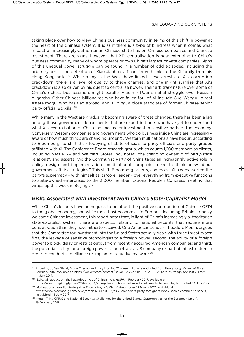taking place over how to view China's business community in terms of this shift in power at the heart of the Chinese system. It is as if there is a type of blindness when it comes what impact an increasingly-authoritarian Chinese state has on Chinese companies and Chinese investment. There are signs, however, that Xi's centralisation is now extending to China's business community, many of whom operate or own China's largest private companies. Signs of this unequal power struggle can be found in a number of odd episodes, including the arbitrary arrest and detention of Xiao Jianhua, a financier with links to the Xi family, from his Hong Kong hotel.47 While many in the West have linked these arrests to Xi's corruption crackdown, there is a level of duality to these charges, and one might surmise that Xi's crackdown is also driven by his quest to centralise power. Their arbitrary nature over some of China's richest businessmen, might parallel vladimir Putin's initial struggle over Russian oligarchs. Other Chinese billionaires who have fallen foul of Xi include Guo Wengui, a real estate mogul who has fled abroad, and Xi Ming, a close associate of former Chinese senior party official Bo Xilai.48

While many in the West are gradually becoming aware of these changes, there has been a lag among those government departments that are expert in trade, who have yet to understand what Xi's centralisation of China Inc. means for investment in sensitive parts of the economy. Conversely, Western companies and governments who do business inside China are increasingly aware of how much things are changing under Xi. Western multinationals have begun, according to Bloomberg, to shift their lobbying of state officials to party officials and party groups affiliated with Xi. The Conference Board research group, which counts 1,200 members as clients, including Nestle SA and Walmart Stores Inc., notes "the changing dynamic of party-state relations", and asserts, "As the Communist Party of China takes an increasingly active role in policy design and implementation, multinational companies need to think anew about government affairs strategies." This shift, Bloomberg asserts, comes as "Xi has reasserted the party's supremacy – with himself as its 'core' leader – over everything from executive functions to state-owned enterprises to the 3,000 member National People's Congress meeting that wraps up this week in Beijing".49

### *Risks Associated with Investment from China's State-Capitalist Model*

While China's leaders have been quick to point out the positive contribution of Chinese OFDI to the global economy, and while most host economies in Europe – including Britain – openly welcome Chinese investment, this report notes that, in light of China's increasingly authoritarian state-capitalist system, there are aspects relating to national security that require more consideration than they have hitherto received. One American scholar, Theodore Moran, argues that the Committee for Investment into the United States actually deals with three threat types: first, the leakage of sensitive technologies to a foreign power; second, the ability of a foreign power to block, delay or restrict output from recently acquired American companies; and third, the potential ability for a foreign power to penetrate a US company or part of infrastructure in order to conduct surveillance or implant destructive malware.<sup>50</sup>

<sup>47</sup> Anderlini, J., Ben Bland, Gloria Cheung and Lucy Hornby, 'Chinese billionaire abducted from Hong Kong', *Financial Times*, February 2017, available at: https://www.ft.com/content/8e54c51c-e7a7-11e6-893c-082c54a7f539?mhq5j=e2, last visited: 14 July 2017.

<sup>48</sup> 'Exile, jail, abduction: the hazardous lives of China's rich', *HKFP*, 4 February 2017, available at:

https://www.hongkongfp.com/2017/02/04/exile-jail-abduction-the-hazardous-lives-of-chinas-rich/, last visited: 14 July 2017. <sup>49</sup> 'Multinationals Are Rethinking How They Lobby Xi's China', *Bloomberg*, 13 March 2017, available at:

https://www.bloomberg.com/news/articles/2017-03-13/as-xi-empowers-party-foreigners-lobby-secret-communist-panels, last visited: 14 July 2017.

<sup>50</sup> Moran, T. H., 'CFIUS and National Security: Challenges for the United States, Opportunities for the European Union', 19 February 2017.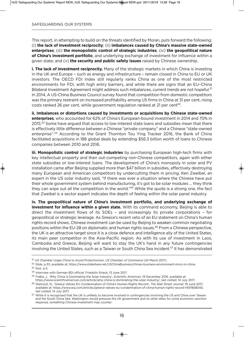This report, in attempting to build on the threats identified by Moran, puts forward the following: (i) **the lack of investment reciprocity**; (ii) **imbalances caused by China's massive state-owned enterprises**; (iii) **the monopolistic control of strategic industries**; (iv) **the geopolitical nature of China's investment portfolio**, and underlying exchange of investment for influence within a given state; and (v) **the security and public safety issues** raised by Chinese ownership.

**i. The lack of investment reciprocity.** Many of the strategic markets in which China is investing in the UK and Europe - such as energy and infrastructure - remain closed in China to EU or UK investors. The OECD FDI Index still regularly ranks China as one of the most restricted environments for FDI, with high entry barriers, and while there are signs that an Eu–China Bilateral Investment Agreement might address such imbalances, current trends are not hopeful.<sup>51</sup> In 2014, A US-China Business Council survey found that competition from domestic competitors was the primary restraint on increased profitability among US firms in China at 31 per cent, rising costs ranked 26 per cent, while government regulation ranked at 21 per cent<sup>52</sup>.

**ii. imbalances or distortions caused by investments or acquisitions by Chinese state-owned enterprises**, who accounted for 62% of China's European-bound investment in 2014 and 70% in 2015.<sup>53</sup> Some have argued that access to low-interest state loans and subsidies mean that there is effectively little difference between a Chinese "private company" and a Chinese "state-owned enterprise".<sup>54</sup> According to the Grant Thornton Tou Ying Tracker 2016, the Bank of China facilitated acquisitions in 188 global deals by extending \$56.3 billion worth of loans to Chinese companies between 2010 and 2016.

**iii. monopolistic control of strategic industries** by purchasing European high-tech firms with key intellectual property and then out-competing non-Chinese competitors, again with either state subsidies or low-interest loans. The development of China's monopoly in solar and Pv installation came after Beijing supplied more than \$47 billion in subsidies, effectively destroying many European and American competitors by undercutting them in pricing. Ken Zweibel, an expert in the US solar industry said, "If there was ever a situation where the Chinese have put their whole government system behind manufacturing, it's got to be solar modules … they think they can wipe out all the competition in the world."55 While the quote is a strong one, the fact that Zweibel is a sector expert indicates the depth of feeling within the solar panel industry.

**iv. the geopolitical nature of China's investment portfolio, and underlying exchange of investment for influence within a given state.** With its command economy, Beijing is able to direct the investment flows of its SOEs – and increasingly its private corporations – for geopolitical or strategic leverage. As Greece's recent veto of an EU statement on China's human rights record shows, Chinese investment can be used by Beijing to weaken common negotiating positions within the EU-28 on diplomatic and human rights issues.<sup>56</sup> From a Chinese perspective, the UK is an attractive target since it is a close defence and intelligence ally of the United States, its main peer competitor in the Asia-Pacific region. As with its use of investment in Laos, Cambodia and Greece, Beijing will want to stay the uK's hand in any future contingencies involving the United States, such as a Taiwan or South China Sea incident.<sup>57</sup> It has demonstrated

<sup>51</sup> uS Chamber urges China to Avoid Protectionism, *US Chamber of Commerce* (24 March 2017).

<sup>52</sup> Slide, p.33, available at: https://www.slideshare.net/uSChinaBusiness/chinas-business-environment-mncs-in-china

<sup>53</sup> Ibid., p.5.

<sup>54</sup> Interview with German BDI official, Friedolin Strack, 13 June 2017.

<sup>55</sup> Fialka, J., 'Why China Is Dominating the Solar Industry', *Scientific American*, 19 December 2016, available at: https://www.scientificamerican.com/article/why-china-is-dominating-the-solar-industry/, last visited: 14 July 2017.

<sup>56</sup> Stamouli, N., 'Greece vetoes Eu Condemnation of China's Human-Rights Record', *The Wall Street Journal*, 19 June 2017, available at: https://www.wsj.com/articles/greece-vetoes-eu-condemnation-of-china-human-rights-record-1497858040, last visited: 14 July 2017.

<sup>57</sup> While it is recognised that the UK is unlikely to become involved in contingencies involving the US and China over Taiwan and the South China Sea, Washington would pressure the UK government and its other allies for some economic sanction response, something Chinese investment may counter.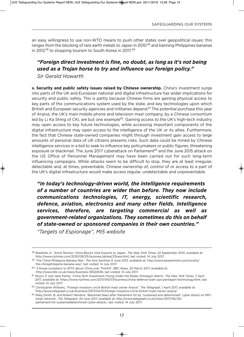an easy willingness to use non-WTO means to push other states over geopolitical issues: this ranges from the blocking of rare earth metals to Japan in 2010<sup>58</sup> and banning Philippines bananas in 2012<sup>59</sup> to stopping tourism to South Korea in 2017.<sup>60</sup>

### *"Foreign direct investment is fine, no doubt, as long as it's not being used as a Trojan horse to try and influence our foreign policy." Sir Gerald Howarth*

**v. Security and public safety issues raised by Chinese ownership.** China's investment surge into parts of the UK and European national and digital infrastructure has wider implications for security and public safely. This is partly because Chinese firms are gaining physical access to key parts of the communications system used by the state, and key technologies upon which British and European security agencies and militaries depend.<sup>61</sup> The potential purchase this year of Arqiva, the uK's main mobile phone and television mast company, by a Chinese consortium led by Li Ka Shing of CKI, are but one example<sup>62</sup>. Gaining access to the UK's high-tech industry may open access to key future technologies, while accessing important components of the digital infrastructure may open access to the intelligence of the UK or its allies. Furthermore, the fact that Chinese state-owned companies might through investment gain access to large amounts of personal data of UK citizens presents risks. Such data could be mined by Chinese intelligence services in a bid to seek to influence key policymakers or public figures, threatening exposure or blackmail. The June 2017 cyberattack on Parliament<sup>63</sup> and the June 2015 attack on the uS Office of Personnel Management may have been carried out for such long-term influencing campaigns. While attacks seem to be difficult to stop, they are at least irregular, detectable and, at times, preventable. Chinese ownership of, control of or access to a part of the UK's digital infrastructure would make access regular, undetectable and unpreventable.

*"In today's technology-driven world, the intelligence requirements of a number of countries are wider than before. They now include communications technologies, IT, energy, scientific research, defence, aviation, electronics and many other fields. Intelligence services, therefore, are targeting commercial as well as government-related organizations. They sometimes do this on behalf of state-owned or sponsored companies in their own countries."*

*"Targets of Espionage", MI5 website*

<sup>58</sup> Bradsher, K., 'Amid Tension, China Blocks vital Exports to Japan', *The New York Times*, 22 September 2010, available at: http://www.nytimes.com/2010/09/23/business/global/23rare.html, last visited: 14 July 2017.

<sup>59</sup> 'The China-Philippine Banana War', *The Asia Sentinel*, 6 June 2012, available at: http://www.asiasentinel.com/society/ the-chinaphilippine-banana-war/, last visited: 14 July 2017.

<sup>60</sup> 'S Korea complains to WTO about China over THAAD', *BBC News*, 20 March 2017, available at: http://www.bbc.co.uk/news/business-39324536, last visited: 14 July 2017.

<sup>61</sup> Mozur, P. and Jane Perlez, 'China Tech Investment Flying under the Radar, Pentagon Warns', *The New York Times*, 7 April 2017, available at: https://www.nytimes.com/2017/04/07/business/china-defense-start-ups-pentagon-technology.html, last visited: 14 July 2017.

<sup>62</sup> Christopher Williams, "Foreign investors circle British mast owner Arqiva", *The Telegraph*, 1 April 2017, available at: http://www.telegraph.co.uk/business/2017/04/01/foreign-investors-circle-british-mast-owner-arqiva/

<sup>63</sup> Riley-Smith, B. and Robert Mendick, 'Blackmail fears after Parliament hit by "sustained and determined" cyber attack on MPs' email network', *The Telegraph*, 24 June 2017, available at: http://www.telegraph.co.uk/news/2017/06/24/ parliament-hit-sustaineddetermined-cyber-attack/, last visited: 14 July 2017.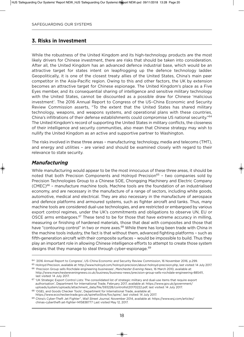#### **3. Risks in Investment**

While the robustness of the United Kingdom and its high-technology products are the most likely drivers for Chinese investment, there are risks that should be taken into consideration. After all, the united Kingdom has an advanced defence industrial base, which would be an attractive target for states intent on leapfrogging up the defence technology ladder. Geopolitically, it is one of the closest treaty allies of the united States, China's main peer competitor in the Asia-Pacific region. Owing to this and other factors, the UK by extension becomes an attractive target for Chinese espionage. The United Kingdom's place as a Five Eyes member, and its consequential sharing of intelligence and sensitive military technology with the United States, cannot be discounted as a possible draw for Chinese 'malicious investment'. The 2016 Annual Report to Congress of the uS–China Economic and Security Review Commission asserts, "To the extent that the united States has shared military technology, weapons, and weapons systems, and operational plans with these countries, China's infiltrations of their defense establishments could compromise US national security."<sup>64</sup> The United Kingdom's record of supporting the United States in military conflicts, the closeness of their intelligence and security communities, also mean that Chinese strategy may wish to nullify the United Kingdom as an active and supportive partner to Washington.

The risks involved in these three areas – manufacturing; technology, media and telecoms (TMT), and energy and utilities – are varied and should be examined closely with regard to their relevance to state security.

#### *Manufacturing*

While manufacturing would appear to be the most innocuous of these three areas, it should be noted that both Precision Components and Holroyd Precision<sup>65</sup> - two companies sold by Precision Technologies Group to a Chinese SOE, Chongqing Machinery and Electric Company  $(CMEC)^{66}$  – manufacture machine tools. Machine tools are the foundation of an industrialised economy, and are necessary in the manufacture of a range of sectors, including white goods, automotive, medical and electrical. They are also necessary in the manufacture of aerospace and defence platforms and armoured systems, such as fighter aircraft and tanks. Thus, many machine tools are considered dual-use technologies, and are restricted or embargoed by various export control regimes, under the UK's commitments and obligations to observe UN, EU or OSCE arms embargoes.<sup>67</sup> These tend to be for those that have extreme accuracy in milling, measuring or finishing of hardened materials, those that deal with composites and those that have "contouring control" in two or more axes.<sup>68</sup> While there has long been trade with China in the machine tools industry, the fact is that without them, advanced fighting platforms – such as fifth-generation aircraft with their composite surfaces – would be impossible to build. Thus they play an important role in allowing Chinese intelligence efforts to attempt to create those system designs that they manage to steal through cyber-espionage.<sup>69</sup>

<sup>64</sup> '2016 Annual Report to Congress', uS–China Economic and Security Review Commission, 16 November 2016, p.299.

<sup>65</sup> Holroyd Precision, available at: http://www.holroyd.com/holroyd-precision/about-holroyd-precision.php, last visited: 14 July 2017. <sup>66</sup> 'Precision Group sells Rochdale engineering businesses', *Manchester Evening News*, 16 March 2010, available at: http://www.manchestereveningnews.co.uk/business/business-news/precision-group-sells-rochdale-engineering-885411,

last visited: 14 July 2017. <sup>67</sup> 'uK Strategic Export Control Lists: The consolidated list of strategic military and dual-use items that require export

authorisation', Department for International Trade, February 2017, available at: https://www.gov.uk/government/ uploads/system/uploads/attachment\_data/file/593228/controllist20170222.pdf, last visited: 14 July 2017.

<sup>68</sup> 'OGEL and Goods Checker Tools', Department for International Trade, available at: https://www.ecochecker.trade.gov.uk/spirefox5live/fox/spire/, last visited: 14 July 2017.

<sup>69</sup> China's Cyber-Theft Jet Fighter", *Wall Street Journal*, November 2014, available at: https://www.wsj.com/articles/ chinas-cybertheft-jet-fighter-1415838777 Last visited May 12, 2017.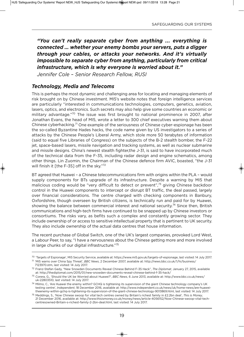*"You can't really separate cyber from anything ... everything is connected … whether your enemy bombs your servers, puts a digger through your cables, or attacks your networks. And it's virtually impossible to separate cyber from anything, particularly from critical infrastructure, which is why everyone is worried about it."*

*Jennifer Cole – Senior Research Fellow, RUSI*

## *Technology, Media and Telecoms*

This is perhaps the most dynamic and challenging area for locating and managing elements of risk brought on by Chinese investment. MI5's website notes that foreign intelligence services are particularly "interested in communications technologies, computers, genetics, aviation, lasers, optics, and electronics. Such secrets may also help give some countries an economic or military advantage."70 The issue was first brought to national prominence in 2007, after Jonathan Evans, the head of MI5, wrote a letter to 300 chief executives warning them about Chinese cyberhacking.<sup>71</sup> One example of the seriousness of Chinese cyber-espionage has been the so-called Byzantine Hades hacks, the code name given by uS investigators to a series of attacks by the Chinese People's Liberal Army, which stole more 50 terabytes of information (said to equal five Libraries of Congress) on the subjects of the B-2 stealth bomber, the F-22 jet, space-based lasers, missile navigation and tracking systems, as well as nuclear submarine and missile designs. China's newest stealth fighter,the J-31, is said to have incorporated much of the technical data from the F-35, including radar design and engine schematics, among other things. Lin Zuomin, the Chairman of the Chinese defence firm AvIC, boasted, "the J-31 will finish it [the F-35] off in the sky."72

BT agreed that Huawei – a Chinese telecommunications firm with origins within the PLA – would supply components for BTs upgrade of its infrastructure. Despite a warning by MI5 that malicious coding would be "very difficult to detect or prevent",<sup>73</sup> giving Chinese backdoor control in the Huawei components to intercept or disrupt BT traffic, the deal passed, largely over financial considerations. The centre charged with checking components in Banbury, Oxfordshire, though overseen by British citizens, is technically run and paid for by Huawei, showing the balance between commercial interest and national security.<sup>74</sup> Since then, British communications and high-tech firms have continued to be snapped up by Chinese investors or consortiums. The risks vary, as befits such a complex and constantly growing sector. They include ownership of or access to sensitive intellectual property that is pertinent to UK security. They also include ownership of the actual data centres that house information.

The recent purchase of Global Switch, one of the UK's largest companies, provoked Lord West, a Labour Peer, to say, "I have a nervousness about the Chinese getting more and more involved in large chunks of our digital infrastructure."75

<sup>70</sup> 'Targets of Espionage', MI5 Security Service, available at: https://www.mi5.gov.uk/targets-of-espionage, last visited: 14 July 2017.

<sup>71</sup> 'MI5 warns over China Spy Threat', *BBC News*, 2 December 2007, available at: http://news.bbc.co.uk/1/hi/business/ 7123970.stm, last visited: 14 July 2017.

<sup>72</sup> Franz-Stefan Gady, "New Snowden Documents Reveal Chinese Behind F-35 Hack", *The Diplomat*, January 27, 2015, available at: http://thediplomat.com/2015/01/new-snowden-documents-reveal-chinese-behind-f-35-hack/

<sup>73</sup> Corera, G., 'Should the uK be Worried about Huawei?', *BBC News*, 6 June 2013, available at: http://www.bbc.co.uk/news/ uk-22803510, last visited: 14 July 2017.

 $74$  Milmo, C., 'Are Huawei the enemy within? GCHQ is tightening its supervision of the giant Chinese technology company's UK testing centre', *Independent*, 18 December 2016, available at: http://www.independent.co.uk/news/uk/home-news/are-huaweitheenemy-within-gchq-is-tightening-its-supervision-of-the-giant-chinese-technology-9013869.html, last visited: 14 July 2017.

<sup>75</sup> Meddings, S., 'Now Chinese swoop for vital tech centres owned by Britain's richest family in £2.2bn deal', *This is Money*, 21 December 2016, available at: http://www.thisismoney.co.uk/money/news/article-4056152/Now-Chinese-swoop-vital-techcentresowned-Britain-s-richest-family-2-2bn-deal.html, last visited: 14 July 2017.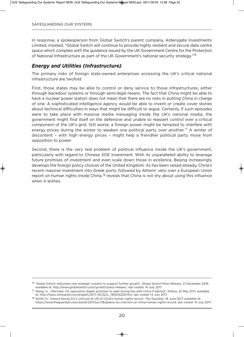In response, a spokesperson from Global Switch's parent company, Aldersgate Investments Limited, insisted, "Global Switch will continue to provide highly resilient and secure data centre space which complies with the guidance issued by the UK Government Centre for the Protection of National Infrastructure as part of the UK Government's national security strategy."76

## *Energy and Utilities (Infrastructure)*

The primary risks of foreign state-owned enterprises accessing the UK's critical national infrastructure are twofold.

First, those states may be able to control or deny service to those infrastructures, either through backdoor systems or through semi-legal means. The fact that China might be able to hack a nuclear power station does not mean that there are no risks in putting China in charge of one. A sophisticated intelligence agency would be able to invent or create cover stories about technical difficulties in ways that might be difficult to argue. Certainly, if such episodes were to take place with massive media messaging inside the uK's national media, the government might find itself on the defensive and unable to reassert control over a critical component of the uK's grid. Still worse, a foreign power might be tempted to interfere with energy prices during the winter to weaken one political party over another.<sup>77</sup> A winter of discontent – with high energy prices – might help a friendlier political party move from opposition to power.

Second, there is the very real problem of political influence inside the UK's government, particularly with regard to Chinese SOE investment. With its unparalleled ability to leverage future promises of investment and even scale down those in existence, Beijing increasingly develops the foreign policy choices of the United Kingdom. As has been raised already, China's recent massive investment into Greek ports, followed by Athens' veto over a European Union report on human rights inside China,<sup>78</sup> reveals that China is not shy about using this influence when it wishes.

<sup>76</sup> 'Global Switch welcomes new strategic investor to support further growth', *Global Switch Press Release*, 21 December 2016, available at: http://www.globalswitch.com/growth/press-release/, last visited: 14 July 2017.

<sup>77</sup> Qiang, H., 'Interview: uK opposition leader promises to seek strong ties with China if elected', *Xinhua*, 22 May 2017, available at: http://news.xinhuanet.com/english/2017-05/22/c\_136304229.htm, last visited: 14 July 2017.

<sup>78</sup> Smith, H., 'Greece blocks Eu's criticism at uN of China's human rights record', *The Guardian*, 18 June 2017, available at: https://www.theguardian.com/world/2017/jun/18/greece-eu-criticism-un-china-human-rights-record, last visited: 14 July 2017.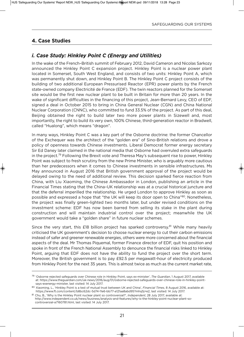## **4. Case Studies**

## *i. Case Study: Hinkley Point C (Energy and Utilities)*

In the wake of the French–British summit of February 2012, David Cameron and Nicolas Sarkozy announced the Hinkley Point C expansion project. Hinkley Point is a nuclear power plant located in Somerset, South West England, and consists of two units: Hinkley Point A, which was permanently shut down, and Hinkley Point B. The Hinkley Point C project consists of the building of two additional European Pressurised Reactor (EPR) power plants by the French state-owned company Electricité de France (EDF). The twin reactors planned for the Somerset site would be the first new nuclear plant to be built in Britain for more than 20 years. In the wake of significant difficulties in the financing of this project, Jean-Bernard Levy, CEO of EDF, signed a deal in October 2015 to bring in China General Nuclear (CGN) and China National Nuclear Corporation (CNNC), who committed to fund 33.5% of the project. As part of this deal, Beijing obtained the right to build later two more power plants in Sizewell and, most importantly, the right to build its very own, 100% Chinese, third-generation reactor in Bradwell, called "Hualong", which means "dragon".

In many ways, Hinkley Point C was a key part of the Osborne doctrine: the former Chancellor of the Exchequer was the architect of the "golden era" of Sino-British relations and drove a policy of openness towards Chinese investments. Liberal Democrat former energy secretary Sir Ed Daney later claimed in the national media that Osborne had overruled extra safeguards in the project.<sup>79</sup> Following the Brexit vote and Theresa May's subsequent rise to power, Hinkley Point was subject to fresh scrutiny from the new Prime Minister, who is arguably more cautious than her predecessors when it comes to Chinese investments in sensible infrastructures. Ms May announced in August 2016 that British government approval of the project would be delayed owing to the need of additional review. This decision sparked fierce reaction from China, with Liu Xiaoming, the Chinese Ambassador in London, publishing an article in the Financial Times stating that the China-UK relationship was at a crucial historical juncture and that the deferral imperilled the relationship. He urged London to approve Hinkley as soon as possible and expressed a hope that "the UK will keep its door open to China"<sup>80</sup>. Nonetheless, the project was finally green-lighted two months later, but under revised conditions on the investment scheme: EDF has now been barred from selling its stake in the plant during construction and will maintain industrial control over the project; meanwhile the uK government would take a "golden share" in future nuclear schemes.

Since the very start, this  $E18$  billion project has sparked controversy.<sup>81</sup> While many heavily criticised the uK government's decision to choose nuclear energy to cut their carbon emissions instead of safer and greener renewable energies, others were more concerned about the financial aspects of the deal. Mr Thomas Piquemal, former Finance director of EDF, quit his position and spoke in front of the French National Assembly to denounce the financial risks linked to Hinkley Point, arguing that EDF does not have the ability to fund the project over the short term. Moreover, the British government is to pay £92.5 per megawatt-hour of electricity produced from Hinkley Point for the next 35 years. This is almost twice as much as the current market rate,

<sup>79</sup> 'Osborne rejected safeguards over Chinese role in Hinkley Point, says ex-minister', *The Guardian*, 1 August 2017, available at: https://www.theguardian.com/uk-news/2016/aug/01/osborne-rejected-safeguards-over-chinese-role-in-hinkley-pointsays-exenergy-minister, last visited: 14 July 2017.

<sup>80</sup> Xiaoming, L., 'Hinkley Point is a test of mutual trust between UK and China', *Financial Times*, 8 August 2016, available at: https://www.ft.com/content/b8bc62dc-5d74-11e6-bb77-a121aa8abd95?mhq5j=e2, last visited: 14 July 2017.

<sup>81</sup> Chu, B., 'Why is the Hinkley Point nuclear plant so controversial?', *Independent*, 28 July 2017, available at: http://www.independent.co.uk/news/business/analysis-and-features/why-is-the-hinkley-point-nuclear-plant-socontroversial-a7160781.html, last visited: 14 July 2017.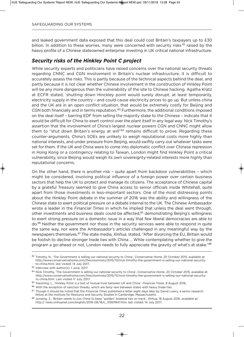and leaked government data exposed that this deal could cost Britain's taxpayers up to £30 billion. In addition to these worries, many were concerned with security risks<sup>82</sup> raised by the heavy profile of a Chinese stateowned enterprise investing in UK critical national infrastructure.

## *Security risks of the Hinkley Point C project*

While security experts and politicians have raised concerns over the national security threats regarding CNNC and CGN involvement in Britain's nuclear infrastructure, it is difficult to accurately assess the risks. This is partly because of the technical aspects behind the deal, and partly because it is not clear whether Chinese involvement in the construction of Hinkley Point will be any more dangerous than the vulnerability of the site to Chinese hacking. Agatha Kratz at ECFR stated, 'shutting down Hinckley point would surely disrupt, at least temporarily, electricity supply in the country – and could cause electricity prices to go up. But unless china and the UK are in an open conflict situation, that would be extremely costly for Beijing and CGN both financially and in terms reputation.'83 Furthermore, the additional conditions imposed on the deal itself – barring EDF from selling the majority stake to the Chinese – indicate that it would be difficult for China to exert control over the plant itself in any legal way. Nick Timothy's assertion that the involvement of China's largest nuclear powers CGN and CNNC might allow them to "shut down Britain's energy at will"84 remains difficult to prove. Regarding these counter-arguments, China's SOEs are unlikely to weigh reputational costs more highly than national interests, and under pressure from Beijing, would swiftly carry out whatever tasks were set for them. If the UK and China were to come into diplomatic conflict over Chinese repression in Hong Kong or a contingency relating to Taiwan, London might find Hinkley Point a critical vulnerability, since Beijing would weigh its own sovereignty-related interests more highly than reputational concerns.

On the other hand, there is another risk – quite apart from backdoor vulnerabilities – which might be considered, involving political influence of a foreign power over certain business sectors that help the UK to protect and manage its citizens. The acceptance of Chinese capital by a grateful Treasury seemed to give China access to senior officials inside Whitehall, quite apart from those investments in less-important sectors. One of the most distressing points about the Hinkley Point debate in the summer of 2016 was the ability and willingness of the Chinese state to exert political pressure on a debate internal to the uK. The Chinese Ambassador wrote a leader in the *Financial Times* in which he implied that unless the deal went through, other investments and business deals could be affected,<sup>85</sup> demonstrating Beijing's willingness to exert strong pressure on a domestic issue in a way that few liberal democracies are able to do.<sup>86</sup> Neither the government nor those in the security services were able to respond in quite the same way, nor were the Ambassador's articles challenged in any meaningful way by the newspapers themselves.<sup>87</sup> The state media, *Xinhua*, stated, "After divorcing the EU, Britain would be foolish to decline stronger trade ties with China … While contemplating whether to give the program a go-ahead or not, London needs to fully appreciate the gravity of what's at stake."88

<sup>82</sup> Timothy, N., 'The Government is selling our national security to China', *Conservative Home*, 20 October 2015, available at: http://www.conservativehome.com/thecolumnists/2015/10/nick-timothy-the-government-is-selling-our-national-securityto-china.html, last visited: 14 July 2017.

<sup>83</sup> Interview with author(s), 1 June, 2017.

<sup>84</sup> Nick Timothy, 'The Government is selling our national security to China', *Conservative Home*, 20 October 2015, available at: http://www.conservativehome.com/thecolumnists/2015/10/nick-timothy-the-government-is-selling-our-national-securityto-china.html. Last visited 17 July, 2017.

<sup>85</sup> Xiaoming, L., 'Hinkley Point is a test of mutual trust between UK and China', *Financial Times*, 8 August 2016.

<sup>86</sup> With the exception of sanction threats, which are fairly rare between states with heavy trade ties.

<sup>87</sup> Though it should be noted that the *Financial Times* published a letter eight days later by David Lowry, a senior research fellow at the Institute for Resource and Security Studies in Cambridge, Massachusetts.

<sup>88</sup> Junqing, Z., 'Britain needs to join China to keep "golden" bilateral ties on track', *Xinhua*, 18 August 2016, available at: http:// news.xinhuanet.com/english/2016-08/18/c\_135611847.htm, last visited: 14 July 2017.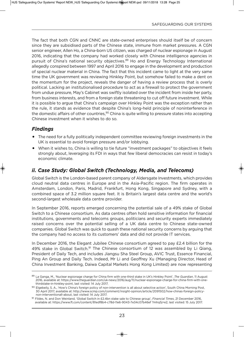The fact that both CGN and CNNC are state-owned enterprises should itself be of concern since they are subsidised parts of the Chinese state, immune from market pressures. A CGN senior engineer, Allen Ho, a China-born uS citizen, was charged of nuclear espionage in August 2016, indicating that the company had worked closely with Chinese intelligence agencies in pursuit of China's national security objectives.<sup>89</sup> Ho and Energy Technology International allegedly conspired between 1997 and April 2016 to engage in the development and production of special nuclear material in China. The fact that this incident came to light at the very same time the UK government was reviewing Hinkley Point, but somehow failed to make a dent on the momentum for the project, reveals the danger of having a review process that is overly political. Lacking an institutionalised procedure to act as a firewall to protect the government from undue pressure, May's Cabinet was swiftly isolated over the incident from inside her party, from business interests, and from a foreign state threatening to cut off future investment. While it is possible to argue that China's campaign over Hinkley Point was the exception rather than the rule, it stands as evidence that despite China's long-held principle of noninterference in the domestic affairs of other countries,<sup>90</sup> China is quite willing to pressure states into accepting Chinese investment when it wishes to do so.

## *Findings*

- The need for a fully politically independent committee reviewing foreign investments in the UK is essential to avoid foreign pressure and/or lobbying.
- When it wishes to, China is willing to tie future "investment packages" to objectives it feels strongly about, leveraging its FDI in ways that few liberal democracies can resist in today's economic climate.

## *ii. Case Study: Global Switch (Technology, Media, and Telecoms)*

Global Switch is the London-based parent company of Aldersgate Investments, which provides cloud neutral data centres in Europe and in the Asia-Pacific region. The firm operates in Amsterdam, London, Paris, Madrid, Frankfurt, Hong Kong, Singapore and Sydney, with a combined space of 3.2 million square feet. It is Britain's largest data centre and the world's second-largest wholesale data centre provider.

In September 2016, reports emerged concerning the potential sale of a 49% stake of Global Switch to a Chinese consortium. As data centres often hold sensitive information for financial institutions, governments and telecoms groups, politicians and security experts immediately raised concerns over the potential selling of a UK data centre to Chinese state-owned companies. Global Switch was quick to quash these national security concerns by arguing that the company had no access to its customers' data and did not provide IT services.

In December 2016, the Elegant Jubilee Chinese consortium agreed to pay £2.4 billion for the 49% stake in Global Switch.<sup>91</sup> The Chinese consortium of 12 was assembled by Li Qiang, President of Daily Tech, and includes Jiangsu Sha Steel Group, AvIC Trust, Essence Financial, Ping An Group and Daily Tech. Indeed, Mr Li and Geoffrey Xu (Managing Director, Head of China Investment Banking, Daiwa Capital Markets Hong Kong Limited) are now representing

<sup>89</sup> La Ganga, M., 'Nuclear espionage charge for China firm with one-third stake in uK's Hinkley Point', *The Guardian*, 11 August 2016, available at: https://www.theguardian.com/uk-news/2016/aug/11/nuclear-espionage-charge-for-china-firm-with-onethirdstake-in-hinkley-point, last visited: 14 July 2017.

<sup>90</sup> Elgebeily, S. A., 'How's China's foreign policy of non-intervention is all about selective action', South China Morning Post, 30 April 2017, available at: http://www.scmp.com/comment/insight-opinion/article/2091502/how-chinas-foreign-policynon-interventionall-about, last visited: 14 July 2017.

<sup>91</sup> Fildes, N. and Don Weinland, 'Global Switch in £2.4bn stake sale to Chinese group', *Financial Times*, 21 December 2016, available at: https://www.ft.com/content/81edf8b4-c78d-11e6-9043-7e34c07b46ef ?mhq5j=e2, last visited: 15 July 2017.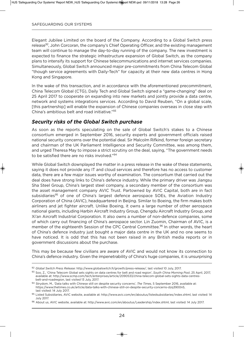Elegant Jubilee Limited on the board of the Company. According to a Global Switch press release<sup>92</sup>, John Corcoran, the company's Chief Operating Officer, and the existing management team will continue to manage the day-to-day running of the company. The new investment is expected to finance the strategic infrastructure expansion of Global Switch, as the company plans to intensify its support for Chinese telecommunications and internet services companies. Simultaneously, Global Switch announced major pre-commitments from China Telecom Global "though service agreements with Daily-Tech" for capacity at their new data centres in Hong Kong and Singapore.

In the wake of this transaction, and in accordance with the aforementioned precommitment, China Telecom Global (CTG), Daily Tech and Global Switch signed a "game-changing" deal on 25 April 2017 to cooperate on expanding into new markets and jointly provide a data centre, network and systems integrations services. According to David Reuben, "On a global scale, [this partnership] will enable the expansion of Chinese companies overseas in close step with China's ambitious belt and road initiative."93

## *Security risks of the Global Switch purchase*

As soon as the reports speculating on the sale of Global Switch's stakes to a Chinese consortium emerged in September 2016, security experts and government officials raised national security concerns over the potential deal. Sir Malcolm Rifkind, former foreign secretary and chairman of the UK Parliament Intelligence and Security Committee, was among them, and urged Theresa May to impose a strict scrutiny on the deal, saying, "The government needs to be satisfied there are no risks involved."94

While Global Switch downplayed the matter in a press release in the wake of these statements, saying it does not provide any IT and cloud services and therefore has no access to customer data, there are a few major issues worthy of examination. The consortium that carried out the deal does have strong links to China's defence industry. While the primary driver was Jiangsu Sha Steel Group, China's largest steel company, a secondary member of the consortium was the asset management company AvIC Trust. Partowned by AvIC Capital, both are in fact subsidiaries<sup>95</sup> of one of China's largest defence aerospace SOEs, the Aviation Industry Corporation of China (AvIC), headquartered in Beijing. Similar to Boeing, the firm makes both airliners and jet fighter aircraft. unlike Boeing, it owns a large number of other aerospace national giants, including Harbin Aircraft Industry Group, Chengdu Aircraft Industry Group, and Xi'an Aircraft Industrial Corporation. It also owns a number of non-defence companies, some of which carry out financing of China's aerospace sector. Lin Zuomin, Chairman of AvIC, is a member of the eighteenth Session of the CPC Central Committee.<sup>96</sup> In other words, the heart of China's defence industry just bought a major data centre in the UK and no one seems to have noticed. It is odd that this has not been raised in any British media reports or in government discussions about the purchase.

This may be because few civilians are aware of AvIC and would not know its connection to China's defence industry. Given the impenetrability of China's huge companies, it is unsurprising

<sup>92</sup> *Global Switch Press Release*: http://www.globalswitch.fr/growth/press-release/, last visited 10 July, 2017.

<sup>93</sup> Soo, Z., 'China Telecom Global sets sights on data centres for belt and road region', *South China Morning Post*, 25 April, 2017, available at: http://www.scmp.com/tech/enterprises/article/2090533/china-telecom-global-sets-sights-data-centresbelt-and-roadregion, last visited 13 July, 2017.

<sup>94</sup> Strydom, M., 'Data talks with Chinese still on despite security concerns', *The Times*, 5 September 2016, available at: https://www.thetimes.co.uk/article/data-talks-with-chinese-still-on-despite-security-concerns-dzq3900n5, last visited: 14 July 2017.

<sup>95</sup> Listed Subsidiaries, AVIC website, available at: http://www.avic.com/en/aboutus/listedsubsidiaries/index.shtml, last visited: 14 July 2017.

<sup>96</sup> About us, AvIC website, available at: http://www.avic.com/en/aboutus/Leadership/index.shtml, last visited: 14 July 2017.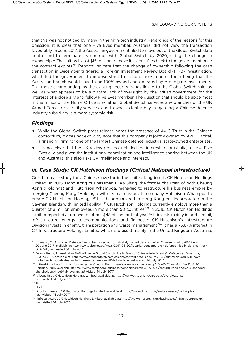that this was not noticed by many in the high-tech industry. Regardless of the reasons for this omission, it is clear that one Five Eyes member, Australia, did not view the transaction favourably. In June 2017, the Australian government filed to move out of the Global Switch data centre and to terminate its contract with Global Switch by 2020, citing the change in ownership.<sup>97</sup> The shift will cost \$151 million to move its secret files back to the government once the contract expires.<sup>98</sup> Reports indicate that the change of ownership following the cash transaction in December triggered a Foreign Investment Review Board (FIRB) investigation, which led the government to impose strict fresh conditions, one of them being that the Australian branch would have to be 100% owned and operated by Aldersgate Investments. This move clearly underpins the existing security issues linked to the Global Switch sale, as well as what appears to be a blatant lack of oversight by the British government for the interests of a close ally and fellow Five Eyes member. The question that should be uppermost in the minds of the Home Office is whether Global Switch services any branches of the UK Armed Forces or security services, and to what extent a buy-in by a major Chinese defence industry subsidiary is a more systemic risk.

## *Findings*

- While the Global Switch press release notes the presence of AvIC Trust in the Chinese consortium, it does not explicitly note that this company is jointly owned by AvIC Capital, a financing firm for one of the largest Chinese defence industrial state-owned enterprises.
- It is not clear that the uK review process included the interests of Australia, a close Five Eyes ally, and given the institutional coordination and intelligence-sharing between the uK and Australia, this also risks UK intelligence and interests.

## *iii. Case Study: CK Hutchison Holdings (Critical National Infrastructure)*

Our third case study for a Chinese investor in the united Kingdom is CK Hutchison Holdings Limited. In 2015, Hong Kong businessman Li Ka Shing, the former chairman of both Cheung Kong (Holdings) and Hutchison Whampoa, managed to restructure his business empire by merging Cheung Kong (Holdings) with its main associate company Hutchison Whampoa to create CK Hutchison Holdings.<sup>99</sup> It is headquartered in Hong Kong but incorporated in the Cayman Islands with limited liability.<sup>100</sup> CK Hutchison Holdings currently employs more than a quarter of a million employees in more than 50 countries.<sup>101</sup> In 2016, CK Hutchison Holdings Limited reported a turnover of about \$48 billion for that year.<sup>102</sup> It invests mainly in ports, retail, infrastructure, energy, telecommunications and finance.<sup>103</sup> CK Hutchison's Infrastructure Division invests in energy, transportation and waste management.<sup>104</sup> It has a 75.67% interest in CK Infrastructure Holdings Limited which is present mainly in the United Kingdom, Australia,

<sup>97</sup> uhlmann, C., 'Australian Defence files to be moved out of privately owned data hub after Chinese buy-in', *ABC News*, 20 June 2017, available at: http://www.abc.net.au/news/2017-06-20/security-concerns-over-defence-files-in-data-centres/ 8632360, last visited: 14 July 2017.

<sup>98</sup> Dawn-Hiscox, T., 'Australian DoD will leave Global Switch due to fears of Chinese interference", *Datacenter Dynamics*, 21 June 2017, available at: http://www.datacenterdynamics.com/content-tracks/security-risk/australian-dod-will-leaveglobal-switch-dueto-fears-of-chinese-interference/98517.fullarticle, last visited: 14 July 2017.

<sup>99</sup> Li Ka-shing's two firms set for merger as Cheung Kong shareholders approve revamp', *South China Morning Post*, 26 February 2015, available at: http://www.scmp.com/business/companies/article/1722910/cheung-kong-shares-suspendedshareholders-meet-talkrevamp, last visited: 14 July 2017.

<sup>100</sup> 'About us', CK Hutchison Holdings Limited, available at: http://www.ckh.com.hk/en/about/overview.php, last visited: 14 July 2017.

<sup>101</sup> Ibid.

<sup>102</sup> Ibid.

<sup>103</sup> 'Our Businesses', CK Hutchison Holdings Limited, available at: http://www.ckh.com.hk/en/businesses/global.php, last visited: 14 July 2017.

<sup>104</sup> 'Infrastructure', CK Hutchison Holdings Limited, available at: http://www.ckh.com.hk/en/businesses/infrastructure.php, last visited: 14 July 2017.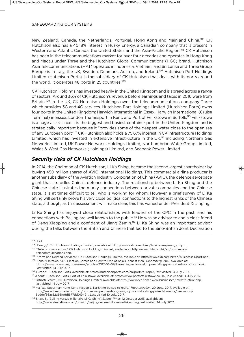New Zealand, Canada, the Netherlands, Portugal, Hong Kong and Mainland China.<sup>105</sup> CK Hutchison also has a 40.18% interest in Husky Energy, a Canadian company that is present in Western and Atlantic Canada, the United States and the Asia-Pacific Region.<sup>106</sup> CK Hutchison has been in the telecommunications market for over four decades and operates in Hong Kong and Macau under Three and the Hutchison Global Communications (HGC) brand. Hutchison Asia Telecommunications (HAT) operates in Indonesia, vietnam, and Sri Lanka and Three Group Europe is in Italy, the UK, Sweden, Denmark, Austria, and Ireland.<sup>107</sup> Hutchison Port Holdings Limited (Hutchison Ports) is the subsidiary of CK Hutchison that deals with its ports around the world. It operates 48 ports in 25 countries.<sup>108</sup>

CK Hutchison Holdings has invested heavily in the United Kingdom and is spread across a range of sectors. Around 36% of CK Hutchison's revenue before earnings and taxes in 2016 were from Britain.<sup>109</sup> In the UK, CK Hutchison Holdings owns the telecommunications company Three which provides 3G and 4G services. Hutchison Port Holdings Limited (Hutchison Ports) owns four ports in the United Kingdom: Harwich International in Essex, Harwich International (Cruise Terminal) in Essex, London Thamesport in Kent, and Port of Felixstowe in Suffolk.<sup>110</sup> Felixstowe is a huge asset since it is the biggest and busiest container port in the United Kingdom and is strategically important because it "provides some of the deepest water close to the open sea of any European port".<sup>111</sup> CK Hutchison also holds a 75.67% interest in CK Infrastructure Holdings Limited, which has invested in extensive infrastructure in the UK,<sup>112</sup> including Northern Gas Networks Limited, uK Power Networks Holdings Limited, Northumbrian Water Group Limited, Wales & West Gas Networks (Holdings) Limited, and Seabank Power Limited.

## *Security risks of CK Hutchison Holdings*

In 2014, the Chairman of CK Hutchison, Li Ka Shing, became the second largest shareholder by buying 450 million shares of AvIC International Holdings. This commercial airline producer is another subsidiary of the Aviation Industry Corporation of China (AvIC), the defence aerospace giant that straddles China's defence industry. The relationship between Li Ka Shing and the Chinese state illustrates the murky connections between private companies and the Chinese state. It is at times difficult to tell who is working for whom. However, a brief survey of Li Ka Shing will certainly prove his very close political connections to the highest ranks of the Chinese state, although, as this assessment will make clear, this has waned under President Xi Jinping.

Li Ka Shing has enjoyed close relationships with leaders of the CPC in the past, and his connections with Beijing are well known to the public.113 He was an advisor to and a close friend of Deng Xiaoping and a confidant of Jiang Zemin.<sup>114</sup> Li Ka Shing was an important advisor during the talks between the British and Chinese that led to the Sino-British Joint Declaration

<sup>105</sup> Ibid.

<sup>106</sup> 'Energy', CK Hutchison Holdings Limited, available at: http://www.ckh.com.hk/en/businesses/energy.php.

<sup>107</sup> "Telecommunications," CK Hutchison Holdings Limited, available at: http://www.ckh.com.hk/en/businesses/ telecommunications.php.

<sup>108</sup> "Ports and Related Services," CK Hutchison Holdings Limited, available at: http://www.ckh.com.hk/en/businesses/port.php.

<sup>109</sup> Kana Nishizawa, 'u.K. Election Comes at a Cost to One of Asia's Richest Men', *Bloomberg*, 2017, available at: https://www.bloomberg.com/news/articles/2017-06-09/li-ka-shing-s-firms-slump-as-falling-pound-hurts-profit-outlook, last visited: 14 July 2017.

<sup>110</sup> Europe', Hutchison Ports, available at: https://hutchisonports.com/en/ports/europe/, last visited: 14 July 2017.

<sup>111</sup> About', Hutchison Ports: Port of Felixstowe, available at: https://www.portoffelixstowe.co.uk/, last visited: 14 July 2017. <sup>112</sup> 'Infrastructure', CK Hutchison Holdings Limited, available at: http://www.ckh.com.hk/en/businesses/infrastructure.php,

last visited: 14 July 2017.

<sup>113</sup> Ma, W., 'Superman Hong Kong tycoon Li Ka-Shing poised to retire,' *The Australian*, 20 June, 2017, available at: http://www.theaustralian.com.au/business/superman-hong-kong-tycoon-li-kashing-poised-to-retire/news-story/ 5d9dcf56ac52a56fddd1577dd0194911. Last visited 10 July, 2017.

<sup>114</sup> Shaw, S., 'Beijing versus billionaire Li Ka Shing', *Straits Times*, 12 October 2015, available at: http://www.straitstimes.com/opinion/beijing-versus-billionaire-li-ka-shing, last visited: 14 July 2017.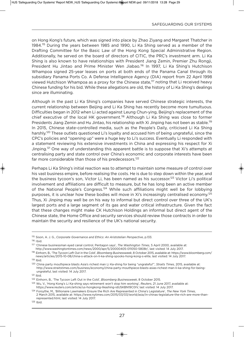on Hong Kong's future, which was signed into place by Zhao Ziyang and Margaret Thatcher in 1984.115 During the years between 1985 and 1990, Li Ka Shing served as a member of the Drafting Committee for the Basic Law of the Hong Kong Special Administrative Region. Additionally, he served on the board of directors of CITIC, the PRC's investment arm. Li Ka Shing is also known to have relationships with President Jiang Zemin, Premier Zhu Rongji, President Hu Jintao and Prime Minister Wen Jiabao.116 In 1997, Li Ka Shing's Hutchison Whampoa signed 25-year leases on ports at both ends of the Panama Canal through its subsidiary Panama Ports Co. A Defense Intelligence Agency (DIA) report from 22 April 1998 viewed Hutchison Whampoa as a proxy for the Chinese state,<sup>117</sup> noting that Li received heavy Chinese funding for his bid. While these allegations are old, the history of Li Ka Shing's dealings since are illuminating.

Although in the past Li Ka Shing's companies have served Chinese strategic interests, the current relationship between Beijing and Li Ka Shing has recently become more tumultuous. Difficulties began in 2012 when Li acted against Leung Chun-ying, Beijing's replacement of the chief executive of the local HK government.118 Although Li Ka Shing was close to former Presidents Jiang Zemin and Hu Jintao, his relationship with Xi Jinping has not been as stable.<sup>119</sup> In 2015, Chinese state-controlled media, such as the People's Daily, criticised Li Ka Shing harshly.<sup>120</sup> These outlets questioned Li's loyalty and accused him of being ungrateful, since the CPC's policies and "opening up" were a huge key to Li's success. Eventually Li responded with a statement reviewing his extensive investments in China and expressing his respect for Xi Jinping.<sup>121</sup> One way of understanding this apparent battle is to suppose that Xi's attempts at centralising party and state control over China's economic and corporate interests have been far more considerable than those of his predecessors.<sup>122</sup>

Perhaps Li Ka Shing's initial reaction was to attempt to maintain some measure of control over his vast business empire, before realising the costs. He is due to step down within the year, and the business tycoon's son, Victor Li, has been named as his successor.<sup>123</sup> Victor Li's political involvement and affiliations are difficult to measure, but he has long been an active member of the National People's Congress.<sup>124</sup> While such affiliations might well be for lobbying purposes, it is unclear how these bodies will move in Xi's increasingly centralised economy.<sup>125</sup> Thus, Xi Jinping may well be on his way to informal but direct control over three of the uK's largest ports and a large segment of its gas and water critical infrastructure. Given the fact that these changes might make CK Hutchison Holdings an informal but direct agent of the Chinese state, the Home Office and security services should review those contracts in order to maintain the security and resilience of the UK's national security.

<sup>119</sup> Ibid.

<sup>115</sup> Sison, A. J. G., *Corporate Governance and Ethics: An Aristotelian Perspective*, p.133.

 $116$  Ibid.

<sup>117</sup> 'Chinese businessman eyed canal control, Pentagon says', *The Washington Times*, 5 April 2000, available at: http://www.washingtontimes.com/news/2000/apr/5/20000405-011050-5808r/, last visited: 14 July 2017.

<sup>118</sup> Einhorn, B., 'The Tycoon Left Out in the Cold', *Bloomberg Businessweek*, 8 October 2015, available at: https://www.bloomberg.com/ news/articles/2015-10-08/china-s-attack-on-li-ka-shing-spooks-hong-kong-s-elite, last visited: 14 July 2017.

<sup>120</sup> China party mouthpiece blasts Asia's richest man Li Ka-shing for being "ungrateful"', *Straits Times*, 2015, available at: http://www.straitstimes.com/business/economy/china-party-mouthpiece-blasts-asias-richest-man-li-ka-shing-for-beingungrateful, last visited: 14 July 2017.

<sup>121</sup> Ibid.

<sup>122</sup> Einhorn, B., 'The Tycoon Left Out in the Cold', *Bloomberg Businessweek*, 8 October 2015.

<sup>123</sup> Wu, v., 'Hong Kong's Li Ka-shing says retirement won't stop him working', *Reuters*, 21 June 2017, available at: https://www.reuters.com/article/us-hongkong-likashing-iduSKBN19C0Iv, last visited: 14 July 2017.

<sup>124</sup> Forsythe, M., 'Billionaire Lawmakers Ensure the Rich Are Represented in China's Legislature', *The New York Times*, 2 March 2015, available at: https://www.nytimes.com/2015/03/03/world/asia/in-chinas-legislature-the-rich-are-more-thanrepresented.html, last visited: 14 July 2017.

 $125$  Ibid.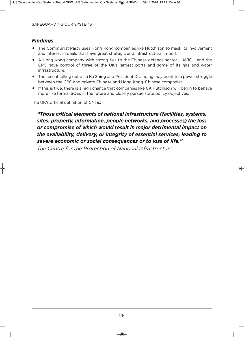## *Findings*

- The Communist Party uses Hong Kong companies like Hutchison to mask its involvement and interest in deals that have great strategic and infrastructural import.
- A Hong Kong company with strong ties to the Chinese defence sector AvIC and the CPC have control of three of the uK's largest ports and some of its gas and water infrastructure.
- The recent falling out of Li Ka Shing and President Xi Jinping may point to a power struggle between the CPC and private Chinese and Hong Kong–Chinese companies.
- If this is true, there is a high chance that companies like CK Hutchison will begin to behave more like formal SOEs in the future and closely pursue state policy objectives.

The UK's official definition of CNI is:

*"Those critical elements of national infrastructure (facilities, systems, sites, property, information, people networks, and processes) the loss or compromise of which would result in major detrimental impact on the availability, delivery, or integrity of essential services, leading to severe economic or social consequences or to loss of life."*

*The Centre for the Protection of National Infrastructure*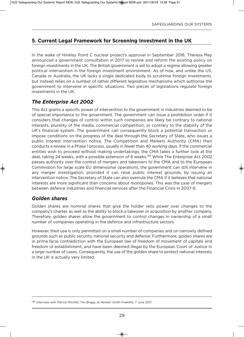## **5. Current legal framework for Screening investment in the uK**

In the wake of Hinkley Point C nuclear project's approval in September 2016, Theresa May announced a government consultation in 2017 to review and reform the existing policy on foreign investments in the UK. The British government is set to adopt a regime allowing greater political intervention in the foreign investment environment. As of now, and unlike the US, Canada or Australia, the uK lacks a single dedicated body to scrutinise foreign investments, but instead relies on a number of rather different legislative mechanisms which authorise the government to intervene in specific situations. Two pieces of legislations regulate foreign investments in the UK.

## *The Enterprise Act 2002*

This Act grants a specific power of intervention to the government in industries deemed to be of special importance to the government. The government can issue a prohibition order if it considers that changes of control within such companies are likely be contrary to national interests, plurality of the media, commercial competition, or contrary to the stability of the UK's financial system. The government can consequently block a potential transaction or impose conditions on the progress of the deal through the Secretary of State, who issues a public interest intervention notice. The Competition and Markets Authority (CMA) then conducts a review in a Phase 1 process, usually in fewer than 40 working days. If the commercial entities wish to proceed without making undertakings, the CMA takes a further look at the deal, taking 24 weeks, with a possible extension of 8 weeks.<sup>126</sup> While The Enterprise Act 2002 passes authority over the control of mergers and takeovers to the CMA and to the European Commission for large scale Eu dimensional operations, the government can still intervene in any merger investigation, provided it can raise public interest grounds, by issuing an intervention notice. The Secretary of State can also overrule the CMA if it believes that national interests are more significant than concerns about monopolies. This was the case of mergers between defence industries and financial services after the Financial Crisis in 2007-8.

### *Golden shares*

Golden shares are nominal shares that give the holder veto power over changes to the company's charter, as well as the ability to block a takeover or acquisition by another company. Therefore, golden shares allow the government to control changes in ownership of a small number of companies operating in the defence and infrastructure sectors.

However, their use is only permitted on a small number of companies and on narrowly defined grounds such as public security, national security and defence. Furthermore, golden shares are in prima facie contradiction with the European law of freedom of movement of capitals and freedom of establishment, and have been deemed illegal by the European Court of Justice in a large number of cases. Consequently, the use of the golden share to protect national interests in the UK is actually very limited.

<sup>126</sup> Interview with Patrick Mitchell, Tim Briggs, at Herbert Smith FreeHills, 7 June 2017.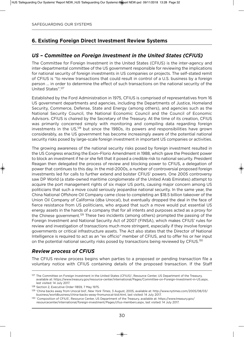## **6. Existing Foreign Direct Investment Review Systems**

### *US – Committee on Foreign Investment in the United States (CFIUS)*

The Committee for Foreign Investment in the United States (CFIUS) is the inter-agency and inter-departmental committee of the uS government responsible for reviewing the implications for national security of foreign investments in US companies or projects. The self-stated remit of CFIUS is "to review transactions that could result in control of a U.S. business by a foreign person … in order to determine the effect of such transactions on the national security of the United States".<sup>127</sup>

Established by the Ford Administration in 1975, CFIuS is comprised of representatives from 16 US government departments and agencies, including the Departments of Justice, Homeland Security, Commerce, Defense, State and Energy (among others), and agencies such as the National Security Council, the National Economic Council and the Council of Economic Advisors. CFIuS is chaired by the Secretary of the Treasury. At the time of its creation, CFIuS was primarily concerned simply with monitoring and compiling data regarding foreign investments in the US,<sup>128</sup> but since the 1980s, its powers and responsibilities have grown considerably, as the uS government has become increasingly aware of the potential national security risks posed by large-scale foreign investment in important US companies or activities.

The growing awareness of the national security risks posed by foreign investment resulted in the uS Congress enacting the Exon–Florio Amendment in 1988, which gave the President power to block an investment if he or she felt that it posed a credible risk to national security. President Reagan then delegated the process of review and blocking power to CFIuS, a delegation of power that continues to this day. In the mid-2000s, a number of controversial proposed foreign investments led for calls to further extend and bolster CFIuS' powers. One 2005 controversy saw DP World (a state-owned maritime conglomerate of the United Arab Emirates) attempt to acquire the port management rights of six major US ports, causing major concern among US politicians that such a move could seriously jeopardise national security. In the same year, the China National Offshore Oil Company came close to completing an \$18.5 billion takeover of the Union Oil Company of California (dba Unocal), but eventually dropped the deal in the face of fierce resistance from US politicians, who argued that such a move would put essential US energy assets in the hands of a company that for all intents and purposes acted as a proxy for the Chinese government.<sup>129</sup> These two incidents (among others) prompted the passing of the Foreign Investment and National Security Act of 2007 (FINSA), which makes CFIuS' rules for review and investigation of transactions much more stringent, especially if they involve foreign governments or critical infrastructure assets. The Act also states that the Director of National Intelligence is required to act as an "ex officio" member of CFIuS, and to offer his or her input on the potential national security risks posed by transactions being reviewed by CFIUS.<sup>130</sup>

### *Review process of CFIUS*

The CFIuS review process begins when parties to a proposed or pending transaction file a voluntary notice with CFIuS containing details of the proposed transaction. If the Staff

<sup>&</sup>lt;sup>127</sup> The Committee on Foreign Investment in the United States (CFIUS)', Resource Center, US Department of the Treasury, available at: https://www.treasury.gov/resource-center/international/Pages/Committee-on-Foreign-Investment-in-uS.aspx, last visited: 14 July 2017.

<sup>128</sup> Section 2, Executive Order 11859, 7 May 1975.

<sup>129</sup> 'China backs away from unocal bid', *New York Times*, 3 August, 2005, available at: http://www.nytimes.com/2005/08/03/ business/worldbusiness/china-backs-away-fromunocal-bid.html, last visited: 14 July 2017.

<sup>130 &#</sup>x27;Composition of CFIUS', Resource Center, US Department of the Treasury, available at: https://www.treasury.gov/ resourcecenter/international/foreign-investment/Pages/cfius-members.aspx, last visited: 14 July 2017.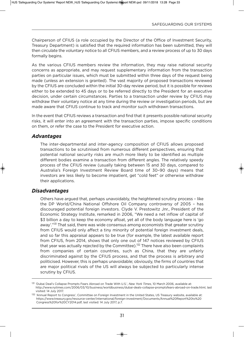Chairperson of CFIuS (a role occupied by the Director of the Office of Investment Security, Treasury Department) is satisfied that the required information has been submitted, they will then circulate the voluntary notice to all CFIuS members, and a review process of up to 30 days formally begins.

As the various CFIuS members review the information, they may raise national security concerns as appropriate, and may request supplementary information from the transaction parties on particular issues, which must be submitted within three days of the request being made (unless an extension is granted). The vast majority of proposed transactions reviewed by the CFIuS are concluded within the initial 30-day review period, but it is possible for reviews either to be extended to 45 days or to be referred directly to the President for an executive decision, under certain circumstances. Parties to a transaction under review by CFIuS may withdraw their voluntary notice at any time during the review or investigation periods, but are made aware that CFIUS continue to track and monitor such withdrawn transactions.

In the event that CFIuS reviews a transaction and find that it presents possible national security risks, it will enter into an agreement with the transaction parties, impose specific conditions on them, or refer the case to the President for executive action.

#### *Advantages*

The inter-departmental and inter-agency composition of CFIuS allows proposed transactions to be scrutinised from numerous different perspectives, ensuring that potential national security risks are much more likely to be identified as multiple different bodies examine a transaction from different angles. The relatively speedy process of the CFIuS review (usually taking between 15 and 30 days, compared to Australia's Foreign Investment Review Board time of 30–90 days) means that investors are less likely to become impatient, get "cold feet" or otherwise withdraw their applications.

#### *Disadvantages*

Others have argued that, perhaps unavoidably, the heightened scrutiny process – like the DP World/China National Offshore Oil Company controversy of 2005 – has discouraged potential foreign investors. Clyde v. Prestowitz Jnr., President of the Economic Strategy Institute, remarked in 2006, "We need a net inflow of capital of \$3 billion a day to keep the economy afloat, yet all of the body language here is 'go away'."<sup>131</sup> That said, there was wide consensus among economists that greater scrutiny from CFIUS would only affect a tiny minority of potential foreign investment deals, and so far this appraisal appears to be true (for example, the latest available report from CFIUS, from 2014, shows that only one out of 147 notices reviewed by CFIUS that year was actually rejected by the Committee).<sup>132</sup> There have also been complaints from companies of certain countries, such as China, that they are unfairly discriminated against by the CFIuS process, and that the process is arbitrary and politicised. However, this is perhaps unavoidable; obviously, the firms of countries that are major political rivals of the US will always be subjected to particularly intense scrutiny by CFIUS.

<sup>131 &#</sup>x27;Dubai Deal's Collapse Prompts Fears Abroad on Trade With U.S.', *New York Times*, 10 March 2006, available at: http://www.nytimes.com/2006/03/10/business/worldbusiness/dubai-deals-collapse-promptsfears-abroad-on-trade.html, last visited: 14 July 2017.

<sup>132 &#</sup>x27;Annual Report to Congress', Committee on Foreign Investment in the United States, US Treasury website, available at: https://www.treasury.gov/resource-center/international/foreign-investment/Documents/Annual%20Report%20to%20 Congress%20for%20CY2014.pdf, last visited: 14 July 2017, p.7.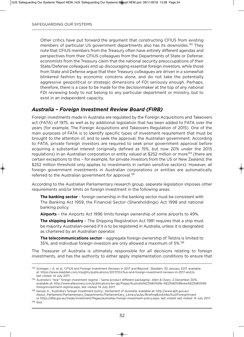Other critics have put forward the argument that constructing CFIuS from existing members of particular US government departments also has its downsides.<sup>133</sup> Thev note that CFIuS members from the Treasury often have entirely different agendas and perspectives from their CFIuS colleagues from the Departments of State or Defense: economists from the Treasury claim that the national security preoccupations of their State/Defense colleagues end up discouraging essential foreign investors, while those from State and Defense argue that their Treasury colleagues are driven in a somewhat blinkered fashion by economic concerns alone, and do not take the potentially aggressive geopolitical or strategic dimensions of FDI seriously enough. Perhaps, therefore, there is a case to be made for the decisionmaker at the top of any national FDI reviewing body to not belong to any particular department or ministry, but to exist in an independent capacity.

## *Australia – Foreign Investment Review Board (FIRB)*

Foreign investments made in Australia are regulated by the Foreign Acquisitions and Takeovers act (FATA) of 1975, as well as by additional legislation that has been added to FATA over the years (for example, The Foreign Acquisitions and Takeovers Regulation of 2015). One of the main purposes of FATA is to identify specific types of investment requirement that must be brought to the attention of, and to seek the approval, the Australian government. According to FATA, private foreign investors are required to seek prior government approval before acquiring a substantial interest (originally defined as 15%, but now 20% under the 2015 regulations) in an Australian corporation or entity valued at \$252 million or more<sup>134</sup> (there are certain exceptions to this - for example, for private investors from the US or New Zealand, the \$252 million threshold only applies to investments in certain sensitive sectors). However, all foreign government investments in Australian corporations or entities are automatically referred to the Australian government for approval.<sup>135</sup>

According to the Australian Parliamentary research group, separate legislation imposes other requirements and/or limits on foreign investment in the following areas:

**the banking sector** – foreign ownership in the banking sector must be consistent with The Banking Act 1959, the Financial Sector (Shareholdings) Act 1998 and national banking policy.

**airports** – the Airports Act 1996 limits foreign ownership of some airports to 49%.

**The shipping industry** - The Shipping Registration Act 1981 requires that a ship must be majority Australian-owned if it is to be registered in Australia, unless it is designated as chartered by an Australian operator.

**The telecommunications sector** - aggregate foreign ownership of Telstra is limited to 35%, and individual foreign investors are only allowed a maximum of 5%.136

The Treasurer of Australia is ultimately responsible for all decisions relating to foreign investments, and has the authority to either apply implementation conditions to ensure that

<sup>133</sup> Schlager, I. A. et al, 'CFIuS and Foreign Investment Reviews in 2017 and Beyond', *Skadden*, 30 January 2017, available at: https://www.skadden.com/insights/publications/2017/01/cfius-and-foreign-investment-reviews-in-2017-and-b, last visited: 14 July 2017.

<sup>134</sup> Australia's "new" foreign investment regime – Same product different packaging', *Allen & Overy*, 2 December 2015, available at: http://www.allenovery.com/publications/en-gb/Pages/Australia%E2%80%99s-%E2%80%98new%E2%80%99 foreigninvestment-regime.aspx, last visited: 14 July 2017.

<sup>135</sup> Sanyal, K., 'Australia's foreign investment policy', *Parliament of Australia*, available at: http://www.aph.gov.au/ About\_Parliament/Parliamentary\_Departments/Parliamentary\_Library/pubs/BriefingBook44p/AustForeignInvest or https://dfat.gov.au/trade/investment/Pages/australias-foreign-investment-policy.aspx, last visited: last visited: 14 July 2017.

<sup>136</sup> Ibid.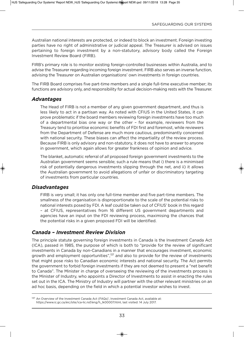Australian national interests are protected, or indeed to block an investment. Foreign investing parties have no right of administrative or judicial appeal. The Treasurer is advised on issues pertaining to foreign investment by a non-statutory, advisory body called the Foreign Investment Review Board (FIRB).

FIRB's primary role is to monitor existing foreign-controlled businesses within Australia, and to advise the Treasurer regarding incoming foreign investment. FIRB also serves an inverse function, advising the Treasurer on Australian organisations' own investments in foreign countries.

The FIRB Board comprises five part-time members and a single full-time executive member; its functions are advisory only, and responsibility for actual decision-making rests with the Treasurer.

#### *Advantages*

The Head of FIRB is not a member of any given government department, and thus is less likely to act in a partisan way. As noted with CFIUS in the United States, it can prove problematic if the board members reviewing foreign investments have too much of a departmental bias one way or the other – for example, reviewers from the Treasury tend to prioritise economic benefits of FDI first and foremost, while reviewers from the Department of Defense are much more cautious, predominantly concerned with national security. These biases can affect the impartiality of the review process. Because FIRB is only advisory and non-statutory, it does not have to answer to anyone in government, which again allows for greater frankness of opinion and advice.

The blanket, automatic referral of *all* proposed foreign government investments to the Australian government seems sensible; such a rule means that i) there is a minimised risk of potentially dangerous investments slipping through the net, and ii) it allows the Australian government to avoid allegations of unfair or discriminatory targeting of investments from particular countries.

#### *Disadvantages*

FIRB is very small; it has only one full-time member and five part-time members. The smallness of the organisation is disproportionate to the scale of the potential risks to national interests posed by FDI. A leaf could be taken out of CFIuS' book in this regard – at CFIuS, representatives from 16 different uS government departments and agencies have an input on the FDI reviewing process, maximising the chances that the potential risks in a given proposed FDI will be identified.

### *Canada – Investment Review Division*

The principle statute governing foreign investments in Canada is the Investment Canada Act (ICA), passed in 1985, the purpose of which is both to "provide for the review of significant investments in Canada by non-Canadians in a manner that encourages investment, economic growth and employment opportunities",<sup>137</sup> and also to provide for the review of investments that might pose risks to Canadian economic interests and national security. The Act permits the government to forbid foreign investments if they are not deemed to present a "net benefit to Canada". The Minister in charge of overseeing the reviewing of the investments process is the Minister of Industry, who appoints a Director of Investments to assist in enacting the rules set out in the ICA. The Ministry of Industry will partner with the other relevant ministries on an ad hoc basis, depending on the field in which a potential investor wishes to invest.

<sup>137</sup> An Overview of the Investment Canada Act (FAQs)', Investment Canada Act, available at: https://www.ic.gc.ca/eic/site/ica-lic.nsf/eng/h\_lk00007.html, last visited: 14 July 2017.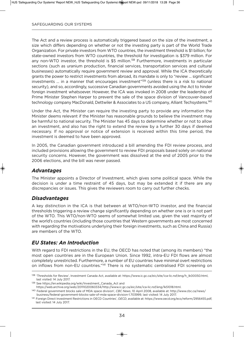The Act and a review process is automatically triggered based on the size of the investment, a size which differs depending on whether or not the investing party is part of the World Trade Organization. For private investors from WTO countries, the investment threshold is \$1 billion; for state-owned investors from WTO countries, the threshold for investigation is \$379 million. For any non-WTO investor, the threshold is \$5 million.<sup>138</sup> Furthermore, investments in particular sections (such as uranium production, financial services, transportation services and cultural businesses) automatically require government review and approval. While the ICA theoretically grants the power to restrict investments from abroad, its mandate is only to "review … significant investments ... in a manner that encourages investment"<sup>139</sup> (unless there is a risk to national security), and so, accordingly, successive Canadian governments avoided using the Act to hinder foreign investment whatsoever. However, the ICA was invoked in 2008 under the leadership of Prime Minister Stephen Harper to prevent the sale of the space division of vancouver-based technology company MacDonald, Dettwiler & Associates to a US company, Alliant Techsystems.<sup>140</sup>

Under the Act, the Minister can require the investing party to provide any information the Minister deems relevant if the Minister has reasonable grounds to believe the investment may be harmful to national security. The Minister has 45 days to determine whether or not to allow an investment, and also has the right to extend the review by a further 30 days if deemed necessary. If no approval or notice of extension is received within this time period, the investment is deemed to have been approved.

In 2005, the Canadian government introduced a bill amending the FDI review process, and included provisions allowing the government to review FDI proposals based solely on national security concerns. However, the government was dissolved at the end of 2005 prior to the 2006 elections, and the bill was never passed.

### *Advantages*

The Minister appoints a Director of Investment, which gives some political space. While the decision is under a time restraint of 45 days, but may be extended it if there are any discrepancies or issues. This gives the reviewers room to carry out further checks.

#### *Disadvantages*

A key distinction in the ICA is that between at WTO/non-WTO investor, and the financial thresholds triggering a review change significantly depending on whether one is or is not part of the WTO. This WTO/non-WTO seems of somewhat limited use, given the vast majority of the world's countries (including those countries that Western governments are most concerned with regarding the motivations underlying their foreign investments, such as China and Russia) are members of the WTO.

### *EU States: An Introduction*

With regard to FDI restrictions in the EU, the OECD has noted that (among its members) "the most open countries are in the European Union. Since 1992, intra-EU FDI flows are almost completely unrestricted. Furthermore, a number of Eu countries have minimal overt restrictions on inflows from non-EU countries."<sup>141</sup> There is no systematic centralised FDI screening on

<sup>139</sup> See https://en.wikipedia.org/wiki/Investment\_Canada\_Act and

<sup>138 &#</sup>x27;Thresholds for Review', Investment Canada Act, available at: https://www.ic.gc.ca/eic/site/ica-lic.nsf/eng/h\_lk00050.html, last visited: 14 July 2017.

https://web.archive.org/web/20111020060334/http://www.ic.gc.ca/eic/site/ica-lic.nsf/eng/lk51018.html.

<sup>140</sup> Federal government blocks sale of MDA space division', *CBC News*, 10 April 2008, available at: http://www.cbc.ca/news/ business/federal-government-blocks-sale-of-mda-space-division-1.703999, last visited: 14 July 2017.

<sup>141</sup> Foreign Direct Investment Restrictions in OECD Countries', *OECD*, available at: https://www.oecd.org/eco/reform/2956455.pdf, last visited: 14 July 2017.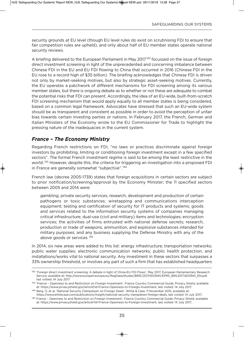security grounds at EU level (though EU level rules do exist on scrutinising FDI to ensure that fair competition rules are upheld), and only about half of EU member states operate national security reviews.

A briefing delivered to the European Parliament in May 2017<sup>142</sup> focussed on the issue of foreign direct investment screening in light of the unprecedented and concerning imbalance between Chinese FDI in the EU and EU FDI flowing to China that occurred in 2016 (Chinese FDI in the EU rose to a record high of \$35 billion). The briefing acknowledges that Chinese FDI is driven not only by market-seeking motives, but also by strategic asset-seeking motives. Currently, the Eu operates a patchwork of different mechanisms for FDI screening among its various member states, but there is ongoing debate as to whether or not these are adequate to combat the potential risks that FDI can present. Accordingly, the idea of an EU-wide, built-from-scratch FDI screening mechanism that would apply equally to all member states is being considered, based on a common legal framework. Advocates have stressed that such an Eu-wide system should be as transparent and consistent as possible in order to avoid the perception of unfair bias towards certain investing parties or nations. In February 2017, the French, German and Italian Ministers of the Economy wrote to the Eu Commissioner for Trade to highlight the pressing nature of the inadequacies in the current system.

## *France – The Economy Ministry*

Regarding French restrictions on FDI, "no laws or practices discriminate against foreign investors by prohibiting, limiting or conditioning foreign investment except in a few specified sectors". The formal French investment regime is said to be among the least restrictive in the world. <sup>143</sup> However, despite this, the criteria for triggering an investigation into a proposed FDI in France are generally somewhat "subjective".<sup>144</sup>

French law (decree 2005-1739) states that foreign acquisitions in certain sectors are subject to prior notification/screening/approval by the Economy Minister; the 11 specified sectors between 2005 and 2014 were:

gambling; private security services; research, development and production of certain pathogens or toxic substances; wiretapping and communications interception equipment; testing and certification of security for IT products and systems; goods and services related to the information security systems of companies managing critical infrastructure; dual-use (civil and military) items and technologies; encryption services; the activities of firms entrusted with national defense secrets; research, production or trade of weapons, ammunition, and explosive substances intended for military purposes; and any business supplying the Defense Ministry with any of the above goods or services. <sup>145</sup>

In 2014, six new areas were added to this list: energy infrastructure; transportation networks; public water supplies; electronic communication networks; public health protection; and installations/works vital to national security. Any investment in these sectors that surpasses a 33% ownership threshold, or involves any part of such a firm that has established headquarters

<sup>142 &#</sup>x27;Foreign direct investment screening: A debate in light of China-EU FDI Flows'. Mav 2017, European Parliamentary Research Service, available at: http://www.europarl.europa.eu/RegData/etudes/BRIE/2017/603941/EPRS\_BRI(2017)603941\_EN.pdf, last visited: 14 July 2017.

<sup>143 &#</sup>x27;France - Openness to and Restriction on Foreign Investment', France Country Commercial Guide, Privacy Shield, available at: https://www.privacyshield.gov/article?id=France-Openness-to-Foreign-Investment, last visited: 14 July 2017.

<sup>144</sup> Berg, O. et al, 'National Security Clampdown on Foreign Deals', White & Case, 11 November 2015, available at: https://www.whitecase.com/publications/insight/national-security-clampdown-foreign-deals, last visited: 14 July 2017.

<sup>145</sup> France - Openness to and Restriction on Foreign Investment', France Country Commercial Guide, Privacy Shield, available at: https://www.privacyshield.gov/article?id=France-Openness-to-Foreign-Investment, last visited: 14 July 2017.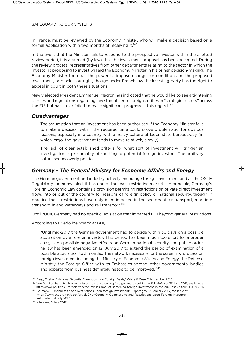in France, must be reviewed by the Economy Minister, who will make a decision based on a formal application within two months of receiving it.<sup>146</sup>

In the event that the Minister fails to respond to the prospective investor within the allotted review period, it is assumed (by law) that the investment proposal has been accepted. During the review process, representatives from other departments relating to the sector in which the investor is proposing to invest will aid the Economy Minister in his or her decision-making. The Economy Minister then has the power to impose changes or conditions on the proposed investment, or block it outright, though under French law the investing party has the right to appeal in court in both these situations.

Newly elected President Emmanuel Macron has indicated that he would like to see a tightening of rules and regulations regarding investments from foreign entities in "strategic sectors" across the EU, but has so far failed to make significant progress in this regard.<sup>147</sup>

#### *Disadvantages*

The assumption that an investment has been authorised if the Economy Minister fails to make a decision within the required time could prove problematic, for obvious reasons, especially in a country with a heavy culture of laden state bureaucracy (in which, ergo, the government tends to move relatively slowly).

The lack of clear established criteria for what sort of investment will trigger an investigation is presumably off-putting to potential foreign investors. The arbitrary nature seems overly political.

## *Germany – The Federal Ministry for Economic Affairs and Energy*

The German government and industry actively encourage foreign investment and as the OSCE Regulatory Index revealed, it has one of the least restrictive markets. In principle, Germany's Foreign Economic Law contains a provision permitting restrictions on private direct investment flows into or out of the country for reasons of foreign policy or national security, though in practice these restrictions have only been imposed in the sectors of air transport, maritime transport, inland waterways and rail transport.<sup>148</sup>

until 2004, Germany had no specific legislation that impacted FDI beyond general restrictions.

According to Friedoline Strack at BHI,

"until mid-2017 the German government had to decide within 30 days on a possible acquisition by a foreign investor. This period has been much too short for a proper analysis on possible negative effects on German national security and public order. he law has been amended on 12. July 2017 to extend the period of examination of a possible acquisition to 3 months. The network necessary for the screening process on foreign investment including the Ministry of Economic Affairs and Energy, the Defense Ministry, the Foreign Office with its Embassies abroad, other governmental bodies and experts from business definitely needs to be improved."<sup>149</sup>

<sup>146</sup> Berg, O. et al, "National Security Clampdown on Foreign Deals," White & Case, 11 November 2015.

<sup>147</sup> Von Der Burchard, H., 'Macron misses goal of screening foreign investment in the EU', Politico, 23 June 2017, available at: http://www.politico.eu/article/macron-misses-goal-of-screening-foreign-investment-in-the-eu/, last visited: 14 July 2017. 148 Germany - Openness to and Restrictions upon foreign investment', Export.gov, 13 January 2017, available at:

https://www.export.gov/apex/article2?id=Germany-Openness-to-and-Restrictions-upon-Foreign-Investment, last visited: 14 July 2017.

<sup>148</sup> Interview, 6 July 2017.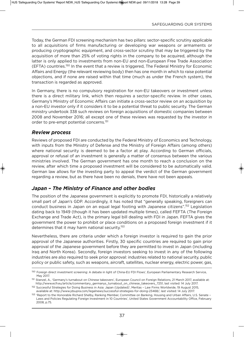Today, the German FDI screening mechanism has two pillars: sector-specific scrutiny applicable to all acquisitions of firms manufacturing or developing war weapons or armaments or producing cryptographic equipment, and cross-sector scrutiny that may be triggered by the acquisition of more than 25% of voting rights in the company to be acquired, although the latter is only applied to investments from non-Eu and non-European Free Trade Association (EFTA) countries.150 In the event that a review is triggered, The Federal Ministry for Economic Affairs and Energy (the relevant reviewing body) then has one month in which to raise potential objections, and if none are raised within that time (much as under the French system), the transaction is regarded as approved.

In Germany, there is no compulsory registration for non-EU takeovers or investment unless there is a direct military link, which then requires a sector-specific review. In other cases, Germany's Ministry of Economic Affairs can initiate a cross-sector review on an acquisition by a non-EU investor only if it considers it to be a potential threat to public security. The German ministry undertook 338 such reviews on foreign acquisitions of domestic companies between 2008 and November 2016; all except one of these reviews was requested by the investor in order to pre-empt potential concerns.<sup>151</sup>

#### *Review process*

Reviews of proposed FDI are conducted by the Federal Ministry of Economics and Technology, with inputs from the Ministry of Defense and the Ministry of Foreign Affairs (among others) where national security is deemed to be a factor at play. According to German officials, approval or refusal of an investment is generally a matter of consensus between the various ministries involved. The German government has one month to reach a conclusion on the review, after which time a proposed investment will be considered to be automatically valid. German law allows for the investing party to appeal the verdict of the German government regarding a review, but as there have been no denials, there have not been appeals.

### *Japan – The Ministry of Finance and other bodies*

The position of the Japanese government is explicitly to promote FDI, historically a relatively small part of Japan's GDP. Accordingly, it has noted that "generally speaking, foreigners can conduct business in Japan on an equal legal footing with Japanese citizens".152 Legislation dating back to 1949 (though it has been updated multiple times), called FEFTA (The Foreign Exchange and Trade Act), is the primary legal bill dealing with FDI in Japan. FEFTA gives the government the power to prohibit or place conditions on a proposed foreign investment if it determines that it may harm national security.<sup>153</sup>

Nevertheless, there are criteria under which a foreign investor is required to gain the prior approval of the Japanese authorities. Firstly, 30 specific countries are required to gain prior approval of the Japanese government before they are permitted to invest in Japan (including Iraq and North Korea). Secondly, foreign investors seeking to invest in any of the following industries are also required to seek prior approval: industries related to national security, public policy or public safety, such as weapons, aircraft, satellites, nuclear energy, electric power, gas,

<sup>150</sup> Foreign direct investment screening: A debate in light of China-EU FDI Flows', European Parliamentary Research Service, May 2017.

<sup>151</sup> Stanzel, A., 'Germany's turnabout on Chinese takeovers', European Council on Foreign Relations, 21 March 2017, available at: http://www.ecfr.eu/article/commentary\_germanys\_turnabout\_on\_chinese\_takeovers\_7251, last visited: 14 July 2017.

<sup>152</sup> Successful Strategies for Doing Business in Asia: Japan (Updated)', Meritas - Law Firms Worldwide, 19 August 2015, available at: http://www.jdsupra.com/legalnews/successful-strategies-for-doing-23468/, last visited: 14 July 2017.

<sup>153 &#</sup>x27;Report to the Honorable Richard Shelby, Ranking Member, Committee on Banking, Housing and Urban Affairs, U.S. Senate -Laws and Policies Regulating Foreign Investment in 10 Countries', United States Government Accountability Office, February 2008, p.75.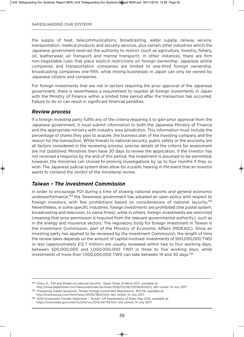the supply of heat, telecommunications, broadcasting, water supply, railway service, transportation, medical products and security services, plus certain other industries which the Japanese government reserves the authority to restrict (such as agriculture, forestry, fishery, oil, leatherwear, air transport and marine transport). In other instances, there are firm non-negotiable rules that place explicit restrictions on foreign ownership: Japanese airline companies and transportation companies are limited to one-third foreign ownership, broadcasting companies one-fifth, while mining businesses in Japan can only be owned by Japanese citizens and companies.

For foreign investments that are not in sectors requiring the prior approval of the Japanese government, there is nevertheless a requirement to register all foreign investments in Japan with the Ministry of Finance within a limited time period after the transaction has occurred. Failure to do so can result in significant financial penalties.

#### *Review process*

If a foreign investing party fulfils any of the criteria requiring it to gain prior approval from the Japanese government, it must submit information to both the Japanese Ministry of Finance and the appropriate ministry with industry area jurisdiction. This information must include the percentage of shares they plan to acquire, the business plan of the investing company and the reason for the transaction. While threats to national security, public safety or the economy are all factors considered in the reviewing process, precise details of the criteria for assessment are not published. Ministries then have 30 days to review the application. If the investor has not received a response by the end of this period, the investment is assumed to be permitted; however, the ministries can choose to prolong investigations by up to four months if they so wish. The Japanese judicial system does allow for a public hearing in the event that an investor wants to contend the verdict of the ministerial review.

### *Taiwan – The Investment Commission*

In order to encourage FDI during a time of slowing national exports and general economic underperformance,154 the Taiwanese government has adopted an open policy with respect to foreign investors, with few prohibitions based on considerations of national security.<sup>155</sup> Nevertheless, in some specific industries, foreign investments are prohibited (the postal system, broadcasting and television, to name three), while in others, foreign investments are restricted (meaning that prior permission is required from the relevant governmental authority), such as in the energy and insurance sectors. The regulatory body for foreign investment in Taiwan is the Investment Commission, part of the Ministry of Economic Affairs (MOEAIC). Once an investing party has applied to be reviewed by the Investment Commission, the length of time the review takes depends on the amount of capital involved. Investments of 500,000,000 TWD or less (approximately £12.7 million) are usually reviewed within two to four working days, between 500,000,000 and 1,000,000,000 TWD in three to five working days, while investments of more than 1,000,000,000 TWD can take between 14 and 30 days.<sup>156</sup>

http://www.bycpa.com/html/news/20132/1805.html, last visited: 14 July 2017.

156 '2015 Investment Climate Statement - Taiwan', US Department of State, May 2015, available at: https://www.state.gov/e/eb/rls/othr/ics/2015/241759.htm, last visited: 14 July 2017.

<sup>154</sup> Chiou, E., 'FDI and threats to national security', *Taipei Times*, 8 March 2017, available at:

http://www.taipeitimes.com/News/editorials/archives/2016/03/08/2003641059/2, last visited: 14 July 2017. 155 'Frequently Asked Questions, Taiwan Foreign Investment Regulations', BYCPA, available at: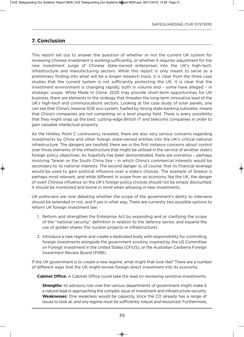## **7. Conclusion**

This report set out to answer the question of whether or not the current UK system for reviewing Chinese investment is working sufficiently, or whether it requires adjustment for the new investment surge of Chinese state-owned enterprises into the uK's high-tech, infrastructure and manufacturing sectors. While this report is only meant to serve as a preliminary finding into what will be a longer research track, it is clear from the three case studies that the current system is not sufficiently protecting the uK. It is clear that the investment environment is changing rapidly, both in volume and – some have alleged – in strategic scope. While Made in China: 2025 may provide short-term opportunities for uK business, there are elements to the strategy that threaten the long-term innovative lead of the uK's high-tech and communications sectors. Looking at the case study of solar panels, one can see that China's massive SOE eco-system, fuelled by strong state banking subsidies, means that China's companies are not competing on a level playing field. There is every possibility that they might snap up the best, cutting-edge British IT and telecoms companies in order to gain valuable intellectual property.

As the Hinkley Point C controversy revealed, there are also very serious concerns regarding investments by China and other foreign state-owned entities into the UK's critical national infrastructure. The dangers are twofold: there are in the first instance concerns about control over those elements of the infrastructure that might be utilised in the service of another state's foreign policy objectives. As hopefully has been demonstrated, there are scenarios – perhaps involving Taiwan or the South China Sea – in which China's commercial interests would be secondary to its national interests. The second danger is, of course, that its financial leverage would be used to gain political influence over a state's choices. The example of Greece is perhaps most relevant, and while different in scope from an economy like the UK, the danger of overt Chinese influence on the uK's foreign policy choices should not be simply discounted. It should be monitored and borne in mind when allowing in new investments.

UK politicians are now debating whether the scope of the government's ability to intervene should be extended or not, and if yes in what way. There are currently two possible options to reform UK foreign investment law:

- 1. Reform and strengthen the Enterprise Act by expanding and or clarifying the scope of the "national security" definition in relation to the defence sector, and expand the use of golden shares (for nuclear projects or infrastructure).
- 2. Introduce a new regime and create a dedicated body with responsibility for controlling foreign investments alongside the government scrutiny, inspired by the US Committee on Foreign Investment in the United States (CFIUS), or the Australian Canberra Foreign Investment Review Board (FIRB).

If the uK government is to create a new regime, what might that look like? There are a number of different ways that the uK might review foreign direct investment into its economy:

**Cabinet office:** A Cabinet Office could take the lead on reviewing sensitive investments.

**Strengths:** Its advisory role over the various departments of government might make it a natural lead in approaching the complex issue of investment and infrastructure security. **Weaknesses**: One weakness would be capacity, since the CO already has a range of issues to look at, and any regime must be sufficiently robust and resourced. Furthermore,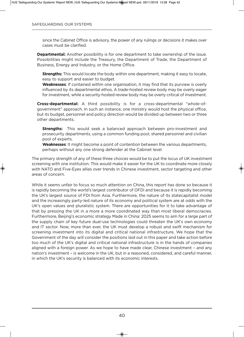since the Cabinet Office is advisory, the power of any rulings or decisions it makes over cases must be clarified.

**Departmental:** Another possibility is for one department to take ownership of the issue. Possibilities might include the Treasury, the Department of Trade, the Department of Business, Energy and Industry, or the Home Office.

**Strengths:** This would locate the body within one department, making it easy to locate, easy to support and easier to budget.

**Weaknesses**: If contained within one organisation, it may find that its purview is overly influenced by its departmental ethos. A trade-hosted review body may be overly eager for investment, while a security-hosted review body may be overly critical of investment.

**Cross-departmental:** A third possibility is for a cross-departmental "whole-ofgovernment" approach. In such an instance, one ministry would host the physical office, but its budget, personnel and policy direction would be divided up between two or three other departments.

**Strengths:** This would seek a balanced approach between pro-investment and prosecurity departments, using a common funding pool, shared personnel and civilian pool of experts.

**Weaknesses**: It might become a point of contention between the various departments, perhaps without any one strong defender at the Cabinet level.

The primary strength of any of these three choices would be to put the locus of UK investment screening with one institution. This would make it easier for the UK to coordinate more closely with NATO and Five-Eyes allies over trends in Chinese investment, sector targeting and other areas of concern.

While it seems unfair to focus so much attention on China, this report has done so because it is rapidly becoming the world's largest contributor of OFDI and because it is rapidly becoming the uK's largest source of FDI from Asia. Furthermore, the nature of its statecapitalist model and the increasingly party-led nature of its economy and political system are at odds with the UK's open values and pluralistic system. There are opportunities for it to take advantage of that by pressing the UK in a more a more coordinated way than most liberal democracies. Furthermore, Beijing's economic strategy Made in China: 2025 seems to aim for a large part of the supply chain of key future dual-use technologies could threaten the UK's own economy and IT sector. Now, more than ever, the UK must develop a robust and swift mechanism for screening investment into its digital and critical national infrastructure. We hope that the Government of the day will consider the positions laid out in this paper and take action before too much of the uK's digital and critical national infrastructure is in the hands of companies aligned with a foreign power. As we hope to have made clear, Chinese investment – and any nation's investment - is welcome in the UK, but in a reasoned, considered, and careful manner, in which the UK's security is balanced with its economic interests.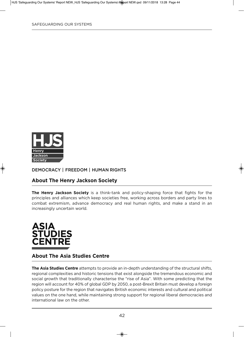

### **DEMOCRACY | FREEDOM | HUMAN RIGHTS**

### **about the henry Jackson Society**

**the henry Jackson Society** is a think-tank and policy-shaping force that fights for the principles and alliances which keep societies free, working across borders and party lines to combat extremism, advance democracy and real human rights, and make a stand in an increasingly uncertain world.



#### **about the asia Studies Centre**

**the asia Studies Centre** attempts to provide an in-depth understanding of the structural shifts, regional complexities and historic tensions that exist alongside the tremendous economic and social growth that traditionally characterise the "rise of Asia". With some predicting that the region will account for 40% of global GDP by 2050, a post-Brexit Britain must develop a foreign policy posture for the region that navigates British economic interests and cultural and political values on the one hand, while maintaining strong support for regional liberal democracies and international law on the other.